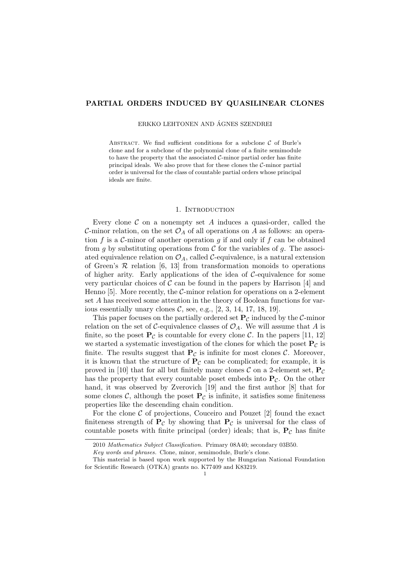# PARTIAL ORDERS INDUCED BY QUASILINEAR CLONES

ERKKO LEHTONEN AND ÁGNES SZENDREI

ABSTRACT. We find sufficient conditions for a subclone  $C$  of Burle's clone and for a subclone of the polynomial clone of a finite semimodule to have the property that the associated  $C$ -minor partial order has finite principal ideals. We also prove that for these clones the C-minor partial order is universal for the class of countable partial orders whose principal ideals are finite.

#### 1. Introduction

Every clone  $\mathcal C$  on a nonempty set  $A$  induces a quasi-order, called the C-minor relation, on the set  $\mathcal{O}_A$  of all operations on A as follows: an operation f is a C-minor of another operation g if and only if f can be obtained from g by substituting operations from  $\mathcal C$  for the variables of g. The associated equivalence relation on  $\mathcal{O}_A$ , called C-equivalence, is a natural extension of Green's  $R$  relation [6, 13] from transformation monoids to operations of higher arity. Early applications of the idea of  $C$ -equivalence for some very particular choices of  $\mathcal C$  can be found in the papers by Harrison [4] and Henno [5]. More recently, the  $C$ -minor relation for operations on a 2-element set A has received some attention in the theory of Boolean functions for various essentially unary clones  $C$ , see, e.g.,  $[2, 3, 14, 17, 18, 19]$ .

This paper focuses on the partially ordered set  $P_{\mathcal{C}}$  induced by the C-minor relation on the set of C-equivalence classes of  $\mathcal{O}_A$ . We will assume that A is finite, so the poset  $P_{\mathcal{C}}$  is countable for every clone  $\mathcal{C}$ . In the papers [11, 12] we started a systematic investigation of the clones for which the poset  $P_{\mathcal{C}}$  is finite. The results suggest that  $P_{\mathcal{C}}$  is infinite for most clones  $\mathcal{C}$ . Moreover, it is known that the structure of  $P_{\mathcal{C}}$  can be complicated; for example, it is proved in [10] that for all but finitely many clones  $\mathcal C$  on a 2-element set,  $P_{\mathcal C}$ has the property that every countable poset embeds into  $P_{\mathcal{C}}$ . On the other hand, it was observed by Zverovich [19] and the first author [8] that for some clones C, although the poset  $P_{\mathcal{C}}$  is infinite, it satisfies some finiteness properties like the descending chain condition.

For the clone  $C$  of projections, Couceiro and Pouzet [2] found the exact finiteness strength of  $P_{\mathcal{C}}$  by showing that  $P_{\mathcal{C}}$  is universal for the class of countable posets with finite principal (order) ideals; that is,  $P_c$  has finite

<sup>2010</sup> Mathematics Subject Classification. Primary 08A40; secondary 03B50.

Key words and phrases. Clone, minor, semimodule, Burle's clone.

This material is based upon work supported by the Hungarian National Foundation for Scientific Research (OTKA) grants no. K77409 and K83219.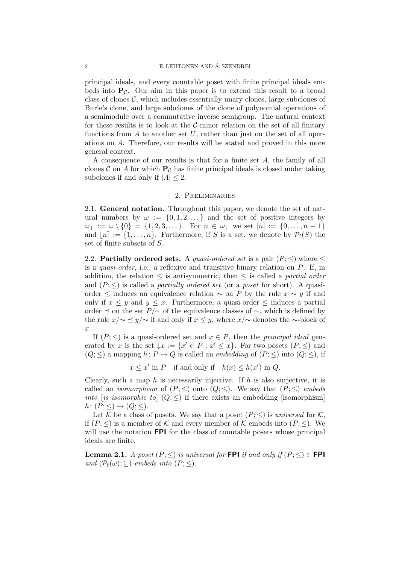principal ideals, and every countable poset with finite principal ideals embeds into  $P_{\mathcal{C}}$ . Our aim in this paper is to extend this result to a broad class of clones  $\mathcal{C}$ , which includes essentially unary clones, large subclones of Burle's clone, and large subclones of the clone of polynomial operations of a semimodule over a commutative inverse semigroup. The natural context for these results is to look at the  $C$ -minor relation on the set of all finitary functions from  $A$  to another set  $U$ , rather than just on the set of all operations on A. Therefore, our results will be stated and proved in this more general context.

A consequence of our results is that for a finite set A, the family of all clones C on A for which  $P_c$  has finite principal ideals is closed under taking subclones if and only if  $|A| \leq 2$ .

# 2. Preliminaries

2.1. General notation. Throughout this paper, we denote the set of natural numbers by  $\omega := \{0, 1, 2, \dots\}$  and the set of positive integers by  $\omega_+ := \omega \setminus \{0\} = \{1, 2, 3, \dots\}.$  For  $n \in \omega_+$  we set  $[n] := \{0, \dots, n-1\}$ and  $[n] := \{1, \ldots, n\}$ . Furthermore, if S is a set, we denote by  $\mathcal{P}_f(S)$  the set of finite subsets of S.

2.2. Partially ordered sets. A quasi-ordered set is a pair  $(P; \leq)$  where  $\leq$ is a *quasi-order*, i.e., a reflexive and transitive binary relation on  $P$ . If, in addition, the relation  $\leq$  is antisymmetric, then  $\leq$  is called a *partial order* and  $(P; \leq)$  is called a *partially ordered set* (or a *poset* for short). A quasiorder  $\leq$  induces an equivalence relation  $\sim$  on P by the rule  $x \sim y$  if and only if  $x \leq y$  and  $y \leq x$ . Furthermore, a quasi-order  $\leq$  induces a partial order  $\leq$  on the set  $P/\sim$  of the equivalence classes of  $\sim$ , which is defined by the rule  $x/\sim \leq y/\sim$  if and only if  $x \leq y$ , where  $x/\sim$  denotes the ∼-block of x.

If  $(P; \leq)$  is a quasi-ordered set and  $x \in P$ , then the *principal ideal* generated by x is the set  $\downarrow x := \{x' \in P : x' \leq x\}$ . For two posets  $(P; \leq)$  and  $(Q; \leq)$  a mapping  $h: P \to Q$  is called an *embedding* of  $(P; \leq)$  into  $(Q; \leq)$ , if

 $x \leq x'$  in P if and only if  $h(x) \leq h(x')$  in Q.

Clearly, such a map h is necessarily injective. If h is also surjective, it is called an *isomorphism* of  $(P; \leq)$  onto  $(Q; \leq)$ . We say that  $(P; \leq)$  *embeds* into [is isomorphic to]  $(Q;\leq)$  if there exists an embedding [isomorphism]  $h\colon (P;\leq)\to (Q;\leq).$ 

Let K be a class of posets. We say that a poset  $(P; \leq)$  is universal for K, if  $(P; \leq)$  is a member of K and every member of K embeds into  $(P; \leq)$ . We will use the notation **FPI** for the class of countable posets whose principal ideals are finite.

**Lemma 2.1.** A poset  $(P;\leq)$  is universal for FPI if and only if  $(P;\leq) \in$  FPI and  $(\mathcal{P}_{f}(\omega);\subseteq)$  embeds into  $(P;\le)$ .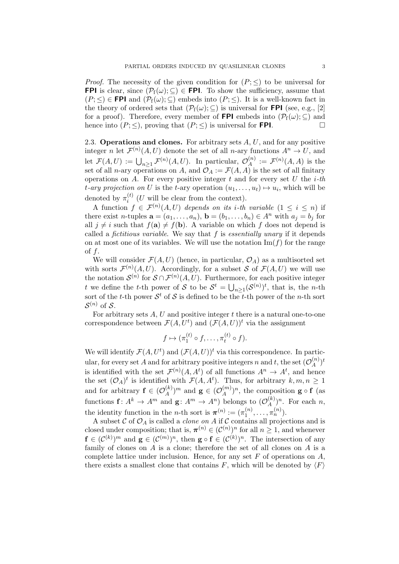*Proof.* The necessity of the given condition for  $(P; \leq)$  to be universal for **FPI** is clear, since  $(\mathcal{P}_f(\omega); \subseteq) \in$  **FPI**. To show the sufficiency, assume that  $(P; \leq) \in \text{FPI}$  and  $(\mathcal{P}_f(\omega); \subseteq)$  embeds into  $(P; \leq)$ . It is a well-known fact in the theory of ordered sets that  $(\mathcal{P}_f(\omega); \subseteq)$  is universal for **FPI** (see, e.g., [2] for a proof). Therefore, every member of **FPI** embeds into  $(\mathcal{P}_f(\omega); \subseteq)$  and hence into  $(P; \leq)$ , proving that  $(P; \leq)$  is universal for **FPI**.

2.3. Operations and clones. For arbitrary sets  $A, U$ , and for any positive integer n let  $\mathcal{F}^{(n)}(A,U)$  denote the set of all n-ary functions  $A^n \to U$ , and let  $\mathcal{F}(A, U) := \bigcup_{n \geq 1} \mathcal{F}^{(n)}(A, U)$ . In particular,  $\mathcal{O}_{A}^{(n)}$  $\mathcal{F}_A^{(n)} := \mathcal{F}^{(n)}(A, A)$  is the set of all *n*-ary operations on A, and  $\mathcal{O}_A := \mathcal{F}(A, A)$  is the set of all finitary operations on A. For every positive integer  $t$  and for every set  $U$  the  $i$ -th t-ary projection on U is the t-ary operation  $(u_1, \ldots, u_t) \mapsto u_i$ , which will be denoted by  $\pi_i^{(t)}$  $i^{(t)}$  (U will be clear from the context).

A function  $f \in \mathcal{F}^{(n)}(A,U)$  depends on its *i*-th variable  $(1 \leq i \leq n)$  if there exist n-tuples  $\mathbf{a} = (a_1, \ldots, a_n)$ ,  $\mathbf{b} = (b_1, \ldots, b_n) \in A^n$  with  $a_j = b_j$  for all  $j \neq i$  such that  $f(\mathbf{a}) \neq f(\mathbf{b})$ . A variable on which f does not depend is called a *fictitious variable*. We say that  $f$  is *essentially unary* if it depends on at most one of its variables. We will use the notation  $\text{Im}(f)$  for the range of f.

We will consider  $\mathcal{F}(A, U)$  (hence, in particular,  $\mathcal{O}_A$ ) as a multisorted set with sorts  $\mathcal{F}^{(n)}(A,U)$ . Accordingly, for a subset S of  $\mathcal{F}(A,U)$  we will use the notation  $\mathcal{S}^{(n)}$  for  $\mathcal{S} \cap \mathcal{F}^{(n)}(A,U)$ . Furthermore, for each positive integer t we define the t-th power of S to be  $S^t = \bigcup_{n \geq 1} (S^{(n)})^t$ , that is, the n-th sort of the t-th power  $S^t$  of S is defined to be the t-th power of the n-th sort  $\mathcal{S}^{(n)}$  of  $\mathcal{S}.$ 

For arbitrary sets  $A, U$  and positive integer  $t$  there is a natural one-to-one correspondence between  $\mathcal{F}(A, U^t)$  and  $(\mathcal{F}(A, U))^t$  via the assignment

$$
f \mapsto (\pi_1^{(t)} \circ f, \dots, \pi_t^{(t)} \circ f).
$$

We will identify  $\mathcal{F}(A, U^t)$  and  $(\mathcal{F}(A, U))^t$  via this correspondence. In particular, for every set A and for arbitrary positive integers n and t, the set  $(\mathcal{O}_{A}^{(n)})$  $\binom{n}{A}^t$ is identified with the set  $\mathcal{F}^{(n)}(A, A^t)$  of all functions  $A^n \to A^t$ , and hence the set  $(O_A)^t$  is identified with  $\mathcal{F}(A, A^t)$ . Thus, for arbitrary  $k, m, n \geq 1$ and for arbitrary  $f \in (\mathcal{O}_A^{(k)})$  $\binom{k}{A}$ <sup>m</sup> and **g**  $\in$   $(\mathcal{O}_{A}^{(m)})$  $\binom{m}{A}$ <sup>n</sup>, the composition **g**  $\circ$  **f** (as functions  $f: A^k \to A^m$  and  $g: A^m \to A^n$  belongs to  $(\mathcal{O}_{A}^{(k)})$  $\binom{k}{A}$ <sup>n</sup>. For each *n*, the identity function in the *n*-th sort is  $\boldsymbol{\pi}^{(n)} := (\pi_1^{(n)})$  $\pi_1^{(n)}, \ldots, \pi_n^{(n)}$ ).

A subset  $\mathcal C$  of  $\mathcal O_A$  is called a *clone on* A if  $\mathcal C$  contains all projections and is closed under composition; that is,  $\pi^{(n)} \in (\mathcal{C}^{(n)})^n$  for all  $n \geq 1$ , and whenever  $\mathbf{f} \in (\mathcal{C}^{(k)})^m$  and  $\mathbf{g} \in (\mathcal{C}^{(m)})^n$ , then  $\mathbf{g} \circ \mathbf{f} \in (\mathcal{C}^{(k)})^n$ . The intersection of any family of clones on  $A$  is a clone; therefore the set of all clones on  $A$  is a complete lattice under inclusion. Hence, for any set  $F$  of operations on  $A$ , there exists a smallest clone that contains F, which will be denoted by  $\langle F \rangle$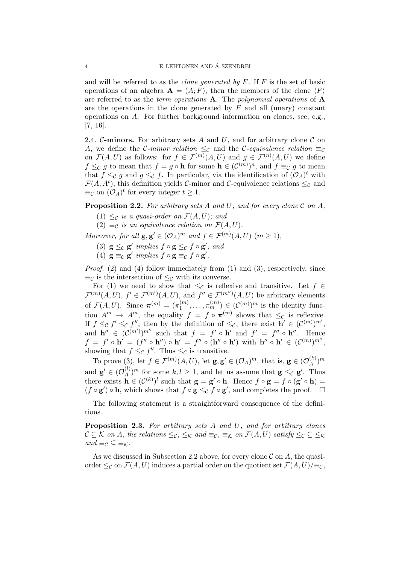and will be referred to as the *clone generated by F*. If  $F$  is the set of basic operations of an algebra  $\mathbf{A} = (A; F)$ , then the members of the clone  $\langle F \rangle$ are referred to as the *term operations*  $\bf{A}$ . The *polynomial operations* of  $\bf{A}$ are the operations in the clone generated by  $F$  and all (unary) constant operations on A. For further background information on clones, see, e.g., [7, 16].

2.4. C-minors. For arbitrary sets A and U, and for arbitrary clone C on A, we define the C-minor relation  $\leq_{\mathcal{C}}$  and the C-equivalence relation  $\equiv_{\mathcal{C}}$ on  $\mathcal{F}(A, U)$  as follows: for  $f \in \mathcal{F}^{(m)}(A, U)$  and  $g \in \mathcal{F}^{(n)}(A, U)$  we define  $f \leq_{\mathcal{C}} g$  to mean that  $f = g \circ \mathbf{h}$  for some  $\mathbf{h} \in (\mathcal{C}^{(m)})^n$ , and  $f \equiv_{\mathcal{C}} g$  to mean that  $f \leq_{\mathcal{C}} g$  and  $g \leq_{\mathcal{C}} f$ . In particular, via the identification of  $(\mathcal{O}_A)^t$  with  $\mathcal{F}(A, A^t)$ , this definition yields C-minor and C-equivalence relations  $\leq_{\mathcal{C}}$  and  $\equiv_{\mathcal{C}}$  on  $(\mathcal{O}_A)^t$  for every integer  $t \geq 1$ .

**Proposition 2.2.** For arbitrary sets A and U, and for every clone  $\mathcal{C}$  on A,

- (1)  $\leq_c$  is a quasi-order on  $\mathcal{F}(A, U)$ ; and
- $(2) \equiv_C$  is an equivalence relation on  $\mathcal{F}(A, U)$ .

Moreover, for all  $\mathbf{g}, \mathbf{g}' \in (\mathcal{O}_A)^m$  and  $f \in \mathcal{F}^{(m)}(A, U)$   $(m \ge 1)$ ,

- (3)  $\mathbf{g} \leq_{\mathcal{C}} \mathbf{g}'$  implies  $f \circ \mathbf{g} \leq_{\mathcal{C}} f \circ \mathbf{g}'$ , and
- (4)  $\mathbf{g} \equiv_{\mathcal{C}} \mathbf{g}'$  implies  $f \circ \mathbf{g} \equiv_{\mathcal{C}} f \circ \mathbf{g}'.$

Proof. (2) and (4) follow immediately from (1) and (3), respectively, since  $\equiv_{\mathcal{C}}$  is the intersection of  $\leq_{\mathcal{C}}$  with its converse.

For (1) we need to show that  $\leq_{\mathcal{C}}$  is reflexive and transitive. Let  $f \in$  $\mathcal{F}^{(m)}(A,U), f' \in \mathcal{F}^{(m')}(A,U),$  and  $f'' \in \mathcal{F}^{(m'')}(A,U)$  be arbitrary elements of  $\mathcal{F}(A, U)$ . Since  $\boldsymbol{\pi}^{(m)} = (\pi_1^{(m)})$  $\mathcal{L}_{1}^{(m)}, \ldots, \pi_{m}^{(m)}\big) \in (\mathcal{C}^{(m)})^{m}$  is the identity function  $A^m \to A^m$ , the equality  $f = f \circ \pi^{(m)}$  shows that  $\leq_{\mathcal{C}}$  is reflexive. If  $f \leq_{\mathcal{C}} f' \leq_{\mathcal{C}} f''$ , then by the definition of  $\leq_{\mathcal{C}}$ , there exist  $\mathbf{h}' \in (\mathcal{C}^{(m)})^{m'}$ , and  $\mathbf{h}'' \in (\mathcal{C}^{(m')})^{m''}$  such that  $f = f' \circ \mathbf{h}'$  and  $f' = f'' \circ \mathbf{h}''$ . Hence  $f = f' \circ \mathbf{h}' = (f'' \circ \mathbf{h}'') \circ \mathbf{h}' = f'' \circ (\mathbf{h}'' \circ \mathbf{h}') \text{ with } \mathbf{h}'' \circ \mathbf{h}' \in (C^{(m)})^{m''},$ showing that  $f \leq_{\mathcal{C}} f''$ . Thus  $\leq_{\mathcal{C}}$  is transitive.

To prove (3), let  $f \in \mathcal{F}^{(m)}(A,U)$ , let  $\mathbf{g}, \mathbf{g}' \in (\mathcal{O}_A)^m$ , that is,  $\mathbf{g} \in (\mathcal{O}_A^{(k)})$  $\binom{k}{A}$ <sup>m</sup> and  $\mathbf{g}' \in (\mathcal{O}_A^{(l)})$  $\mathcal{L}_{A}^{(l)}$  or some  $k, l \geq 1$ , and let us assume that  $\mathbf{g} \leq_{\mathcal{C}} \mathbf{g}'$ . Thus there exists  $\mathbf{h} \in (\mathcal{C}^{(k)})^l$  such that  $\mathbf{g} = \mathbf{g}' \circ \mathbf{h}$ . Hence  $f \circ \mathbf{g} = f \circ (\mathbf{g}' \circ \mathbf{h}) =$  $(f \circ g') \circ h$ , which shows that  $f \circ g \leq_{\mathcal{C}} f \circ g'$ , and completes the proof.  $\Box$ 

The following statement is a straightforward consequence of the definitions.

**Proposition 2.3.** For arbitrary sets  $A$  and  $U$ , and for arbitrary clones  $\mathcal{C} \subseteq \mathcal{K}$  on A, the relations  $\leq_{\mathcal{C}}, \leq_{\mathcal{K}}$  and  $\equiv_{\mathcal{C}}, \equiv_{\mathcal{K}}$  on  $\mathcal{F}(A, U)$  satisfy  $\leq_{\mathcal{C}} \leq \leq_{\mathcal{K}}$ and  $\equiv_{\mathcal{C}} \subseteq \equiv_{\mathcal{K}}$ .

As we discussed in Subsection 2.2 above, for every clone  $\mathcal C$  on A, the quasiorder  $\leq_{\mathcal{C}}$  on  $\mathcal{F}(A, U)$  induces a partial order on the quotient set  $\mathcal{F}(A, U)|\equiv_{\mathcal{C}}$ ,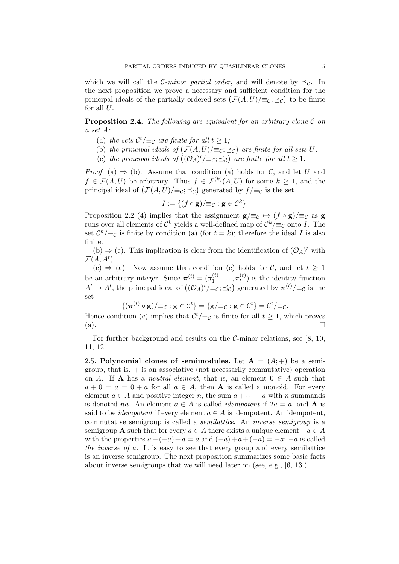which we will call the C-minor partial order, and will denote by  $\preceq_{\mathcal{C}}$ . In the next proposition we prove a necessary and sufficient condition for the principal ideals of the partially ordered sets  $(\mathcal{F}(A, U)/\equiv_C; \preceq_C)$  to be finite for all  $U$ .

**Proposition 2.4.** The following are equivalent for an arbitrary clone  $\mathcal{C}$  on a set A:

- (a) the sets  $\mathcal{C}^t/\equiv_{\mathcal{C}}$  are finite for all  $t \geq 1$ ;
- (b) the principal ideals of  $(\mathcal{F}(A, U))\equiv_c \leq_c$  are finite for all sets U;
- (c) the principal ideals of  $((\mathcal{O}_A)^t/\equiv_c; \preceq_c)$  are finite for all  $t \geq 1$ .

*Proof.* (a)  $\Rightarrow$  (b). Assume that condition (a) holds for C, and let U and  $f \in \mathcal{F}(A, U)$  be arbitrary. Thus  $f \in \mathcal{F}^{(k)}(A, U)$  for some  $k \geq 1$ , and the principal ideal of  $(\mathcal{F}(A, U)/\equiv_C; \preceq_C)$  generated by  $f/\equiv_C$  is the set

$$
I := \{ (f \circ \mathbf{g})/\equiv_{\mathcal{C}} \colon \mathbf{g} \in \mathcal{C}^k \}.
$$

Proposition 2.2 (4) implies that the assignment  $g/\equiv_{\mathcal{C}} \rightarrow (f \circ g)/\equiv_{\mathcal{C}}$  as g runs over all elements of  $\mathcal{C}^k$  yields a well-defined map of  $\mathcal{C}^k/\equiv_\mathcal{C}$  onto I. The set  $\mathcal{C}^k/\equiv_{\mathcal{C}}$  is finite by condition (a) (for  $t = k$ ); therefore the ideal I is also finite.

(b)  $\Rightarrow$  (c). This implication is clear from the identification of  $(\mathcal{O}_A)^t$  with  $\mathcal{F}(A,A^t).$ 

 $(c) \Rightarrow (a)$ . Now assume that condition (c) holds for C, and let  $t > 1$ be an arbitrary integer. Since  $\boldsymbol{\pi}^{(t)} = (\pi_1^{(t)})$  $\pi_1^{(t)}, \ldots, \pi_t^{(t)}$  $t_t^{(t)}$ ) is the identity function  $A^t \to A^t$ , the principal ideal of  $((\mathcal{O}_A)^t/\equiv_c; \preceq_c)$  generated by  $\pi^{(t)}/\equiv_c$  is the set

$$
\{(\boldsymbol{\pi}^{(t)}\circ \mathbf{g})/\equiv_{\mathcal{C}}: \mathbf{g}\in \mathcal{C}^t\}=\{\mathbf{g}/\equiv_{\mathcal{C}}: \mathbf{g}\in \mathcal{C}^t\}=\mathcal{C}^t/\equiv_{\mathcal{C}}.
$$

Hence condition (c) implies that  $\mathcal{C}^t/\equiv_{\mathcal{C}}$  is finite for all  $t \geq 1$ , which proves  $\Box$   $\Box$ 

For further background and results on the  $\mathcal{C}\text{-minor relations, see }[8, 10, 10]$ 11, 12].

2.5. Polynomial clones of semimodules. Let  $A = (A, +)$  be a semigroup, that is,  $+$  is an associative (not necessarily commutative) operation on A. If **A** has a *neutral element*, that is, an element  $0 \in A$  such that  $a + 0 = a = 0 + a$  for all  $a \in A$ , then **A** is called a monoid. For every element  $a \in A$  and positive integer n, the sum  $a + \cdots + a$  with n summands is denoted na. An element  $a \in A$  is called *idempotent* if  $2a = a$ , and **A** is said to be *idempotent* if every element  $a \in A$  is idempotent. An idempotent, commutative semigroup is called a semilattice. An inverse semigroup is a semigroup **A** such that for every  $a \in A$  there exists a unique element  $-a \in A$ with the properties  $a + (-a) + a = a$  and  $(-a) + a + (-a) = -a$ ;  $-a$  is called the inverse of a. It is easy to see that every group and every semilattice is an inverse semigroup. The next proposition summarizes some basic facts about inverse semigroups that we will need later on (see, e.g., [6, 13]).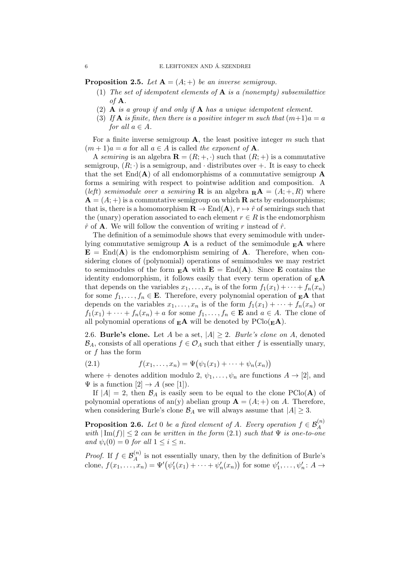**Proposition 2.5.** Let  $A = (A; +)$  be an inverse semigroup.

- (1) The set of idempotent elements of  $A$  is a (nonempty) subsemilattice of  $A$ .
- (2) **A** is a group if and only if **A** has a unique idempotent element.
- (3) If **A** is finite, then there is a positive integer m such that  $(m+1)a = a$ for all  $a \in A$ .

For a finite inverse semigroup  $A$ , the least positive integer m such that  $(m+1)a = a$  for all  $a \in A$  is called the exponent of **A**.

A semiring is an algebra  $\mathbf{R} = (R; +, \cdot)$  such that  $(R; +)$  is a commutative semigroup,  $(R; \cdot)$  is a semigroup, and  $\cdot$  distributes over  $+$ . It is easy to check that the set  $\text{End}(\mathbf{A})$  of all endomorphisms of a commutative semigroup **A** forms a semiring with respect to pointwise addition and composition. A (left) semimodule over a semiring **R** is an algebra  $_{\mathbf{R}}\mathbf{A} = (A; +, R)$  where  ${\bf A} = (A; +)$  is a commutative semigroup on which **R** acts by endomorphisms; that is, there is a homomorphism  $\mathbf{R} \to \text{End}(\mathbf{A}), r \mapsto \hat{r}$  of semirings such that the (unary) operation associated to each element  $r \in R$  is the endomorphism  $\hat{r}$  of **A**. We will follow the convention of writing r instead of  $\hat{r}$ .

The definition of a semimodule shows that every semimodule with underlying commutative semigroup **A** is a reduct of the semimodule  $_{E}$ **A** where  $\mathbf{E} = \text{End}(\mathbf{A})$  is the endomorphism semiring of **A**. Therefore, when considering clones of (polynomial) operations of semimodules we may restrict to semimodules of the form  $_{E}A$  with  $E = \text{End}(A)$ . Since E contains the identity endomorphism, it follows easily that every term operation of  $E$ A that depends on the variables  $x_1, \ldots, x_n$  is of the form  $f_1(x_1) + \cdots + f_n(x_n)$ for some  $f_1, \ldots, f_n \in \mathbf{E}$ . Therefore, every polynomial operation of  $_{\mathbf{E}}\mathbf{A}$  that depends on the variables  $x_1, \ldots, x_n$  is of the form  $f_1(x_1) + \cdots + f_n(x_n)$  or  $f_1(x_1) + \cdots + f_n(x_n) + a$  for some  $f_1, \ldots, f_n \in \mathbf{E}$  and  $a \in A$ . The clone of all polynomial operations of  $_{E}A$  will be denoted by  $PClo({_{E}A})$ .

2.6. Burle's clone. Let A be a set,  $|A| \geq 2$ . Burle's clone on A, denoted  $\mathcal{B}_A$ , consists of all operations  $f \in \mathcal{O}_A$  such that either f is essentially unary, or  $f$  has the form

(2.1) 
$$
f(x_1,...,x_n) = \Psi(\psi_1(x_1) + \cdots + \psi_n(x_n))
$$

where + denotes addition modulo 2,  $\psi_1, \ldots, \psi_n$  are functions  $A \rightarrow [2]$ , and  $\Psi$  is a function  $[2] \rightarrow A$  (see [1]).

If  $|A| = 2$ , then  $\mathcal{B}_A$  is easily seen to be equal to the clone PClo(A) of polynomial operations of an(y) abelian group  $\mathbf{A} = (A; +)$  on A. Therefore, when considering Burle's clone  $\mathcal{B}_A$  we will always assume that  $|A| \geq 3$ .

**Proposition 2.6.** Let 0 be a fixed element of A. Every operation  $f \in \mathcal{B}_{A}^{(n)}$ with  $|\text{Im}(f)| \leq 2$  can be written in the form  $(2.1)$  such that  $\Psi$  is one-to-one and  $\psi_i(0) = 0$  for all  $1 \leq i \leq n$ .

*Proof.* If  $f \in \mathcal{B}_{A}^{(n)}$  is not essentially unary, then by the definition of Burle's clone,  $f(x_1,...,x_n) = \Psi'(\psi_1'(x_1) + \cdots + \psi_n'(x_n))$  for some  $\psi_1',...,\psi_n' : A \to$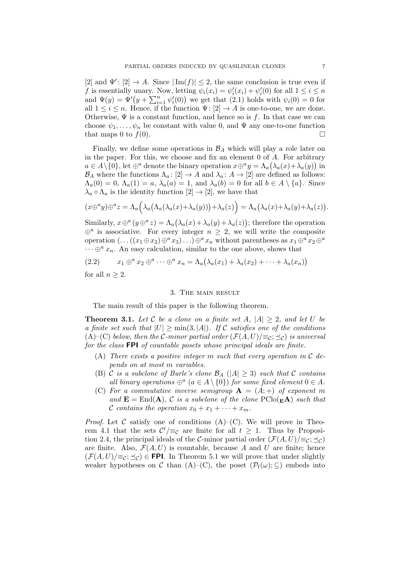[2] and  $\Psi'$ : [2]  $\rightarrow$  A. Since  $|\text{Im}(f)| \leq 2$ , the same conclusion is true even if f is essentially unary. Now, letting  $\psi_i(x_i) = \psi'_i(x_i) + \psi'_i(0)$  for all  $1 \leq i \leq n$ and  $\Psi(y) = \Psi'(y + \sum_{i=1}^n \psi_i'(0))$  we get that  $(2.1)$  holds with  $\psi_i(0) = 0$  for all  $1 \leq i \leq n$ . Hence, if the function  $\Psi: [2] \to A$  is one-to-one, we are done. Otherwise,  $\Psi$  is a constant function, and hence so is f. In that case we can choose  $\psi_1, \ldots, \psi_n$  be constant with value 0, and  $\Psi$  any one-to-one function that maps 0 to  $f(0)$ .

Finally, we define some operations in  $\mathcal{B}_A$  which will play a role later on in the paper. For this, we choose and fix an element  $0$  of  $A$ . For arbitrary  $a \in A \setminus \{0\}$ , let  $\oplus^a$  denote the binary operation  $x \oplus^a y = \Lambda_a(\lambda_a(x) + \lambda_a(y))$  in  $\mathcal{B}_A$  where the functions  $\Lambda_a: [2] \to A$  and  $\lambda_a: A \to [2]$  are defined as follows:  $\Lambda_a(0) = 0$ ,  $\Lambda_a(1) = a$ ,  $\lambda_a(a) = 1$ , and  $\lambda_a(b) = 0$  for all  $b \in A \setminus \{a\}$ . Since  $\lambda_a \circ \Lambda_a$  is the identity function  $[2] \to [2]$ , we have that

$$
(x\oplus^a y)\oplus^a z = \Lambda_a\Big(\lambda_a(\Lambda_a(\lambda_a(x)+\lambda_a(y))) + \lambda_a(z)\Big) = \Lambda_a\big(\lambda_a(x)+\lambda_a(y)+\lambda_a(z)\big).
$$

Similarly,  $x \oplus^a (y \oplus^a z) = \Lambda_a (\lambda_a(x) + \lambda_a(y) + \lambda_a(z))$ ; therefore the operation  $\oplus^a$  is associative. For every integer  $n \geq 2$ , we will write the composite operation  $(\ldots((x_1 \oplus x_2) \oplus^a x_3) \ldots) \oplus^a x_n$  without parentheses as  $x_1 \oplus^a x_2 \oplus^a x_3$  $\cdots \oplus^a x_n$ . An easy calculation, similar to the one above, shows that

$$
(2.2) \t x_1 \oplus^a x_2 \oplus^a \cdots \oplus^a x_n = \Lambda_a(\lambda_a(x_1) + \lambda_a(x_2) + \cdots + \lambda_a(x_n))
$$

for all  $n \geq 2$ .

## 3. The main result

The main result of this paper is the following theorem.

**Theorem 3.1.** Let C be a clone on a finite set A,  $|A| > 2$ , and let U be a finite set such that  $|U| \ge \min(3, |A|)$ . If C satisfies one of the conditions (A)–(C) below, then the C-minor partial order  $(\mathcal{F}(A, U)|\equiv_c; \preceq_c)$  is universal for the class FPI of countable posets whose principal ideals are finite.

- (A) There exists a positive integer  $m$  such that every operation in  $C$  depends on at most m variables.
- (B) C is a subclone of Burle's clone  $\mathcal{B}_A$  ( $|A| \geq 3$ ) such that C contains all binary operations  $\oplus^a$   $(a \in A \setminus \{0\})$  for some fixed element  $0 \in A$ .
- (C) For a commutative inverse semigroup  $A = (A; +)$  of exponent m and  $\mathbf{E} = \text{End}(\mathbf{A}), C$  is a subclone of the clone  $\text{PClo}(\mathbf{E} \mathbf{A})$  such that C contains the operation  $x_0 + x_1 + \cdots + x_m$ .

*Proof.* Let  $\mathcal C$  satisfy one of conditions  $(A)$ – $(C)$ . We will prove in Theorem 4.1 that the sets  $\mathcal{C}^t/\equiv_{\mathcal{C}}$  are finite for all  $t \geq 1$ . Thus by Proposition 2.4, the principal ideals of the C-minor partial order  $(\mathcal{F}(A, U)|\equiv_{\mathcal{C}}; \preceq_{\mathcal{C}})$ are finite. Also,  $\mathcal{F}(A, U)$  is countable, because A and U are finite; hence  $(\mathcal{F}(A, U))\equiv_{\mathcal{C}}; \preceq_{\mathcal{C}}\in$  FPI. In Theorem 5.1 we will prove that under slightly weaker hypotheses on C than  $(A)$ – $(C)$ , the poset  $(\mathcal{P}_f(\omega); \subseteq)$  embeds into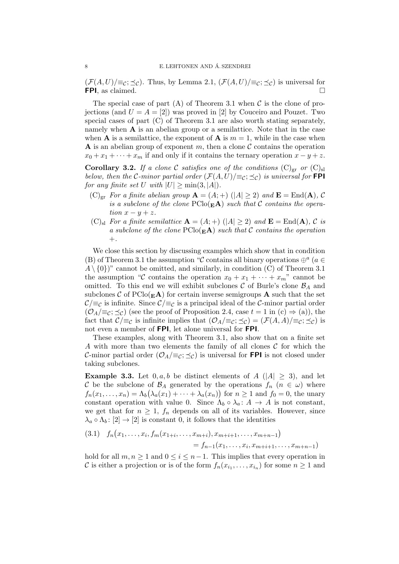$(\mathcal{F}(A, U)|\equiv_{\mathcal{C}}; \preceq_{\mathcal{C}})$ . Thus, by Lemma 2.1,  $(\mathcal{F}(A, U)|\equiv_{\mathcal{C}}; \preceq_{\mathcal{C}})$  is universal for FPI, as claimed.  $\Box$ 

The special case of part (A) of Theorem 3.1 when  $\mathcal C$  is the clone of projections (and  $U = A = [2]$ ) was proved in [2] by Couceiro and Pouzet. Two special cases of part (C) of Theorem 3.1 are also worth stating separately, namely when  $A$  is an abelian group or a semilattice. Note that in the case when **A** is a semilattice, the exponent of **A** is  $m = 1$ , while in the case when **A** is an abelian group of exponent m, then a clone  $\mathcal C$  contains the operation  $x_0 + x_1 + \cdots + x_m$  if and only if it contains the ternary operation  $x - y + z$ .

**Corollary 3.2.** If a clone C satisfies one of the conditions  $(C)_{gr}$  or  $(C)_{sl}$ below, then the C-minor partial order  $(\mathcal{F}(A, U)|\equiv_{\mathcal{C}}; \preceq_{\mathcal{C}})$  is universal for **FPI** for any finite set U with  $|U| \ge \min(3, |A|)$ .

- $(C)_{\text{gr}}$  For a finite abelian group  $\mathbf{A} = (A;+)$   $(|A| \geq 2)$  and  $\mathbf{E} = \text{End}(\mathbf{A}), C$ is a subclone of the clone  $PClo(\mathbf{E} \mathbf{A})$  such that C contains the operation  $x - y + z$ .
- $(C)_{\rm sl}$  For a finite semilattice  ${\bf A} = (A;+)$   $(|A| \geq 2)$  and  ${\bf E} = {\rm End}({\bf A})$ , C is a subclone of the clone  $PClo(EA)$  such that C contains the operation  $+$ .

We close this section by discussing examples which show that in condition (B) of Theorem 3.1 the assumption "C contains all binary operations  $\oplus^a$  ( $a \in$  $A \setminus \{0\}$ " cannot be omitted, and similarly, in condition (C) of Theorem 3.1 the assumption "C contains the operation  $x_0 + x_1 + \cdots + x_m$ " cannot be omitted. To this end we will exhibit subclones  $\mathcal C$  of Burle's clone  $\mathcal B_A$  and subclones C of  $PClo(E_{\bf A})$  for certain inverse semigroups A such that the set  $\mathcal{C}/\equiv_{\mathcal{C}}$  is infinite. Since  $\mathcal{C}/\equiv_{\mathcal{C}}$  is a principal ideal of the C-minor partial order  $(\mathcal{O}_A/\equiv_c; \preceq_c)$  (see the proof of Proposition 2.4, case  $t = 1$  in  $(c) \Rightarrow (a)$ ), the fact that  $\mathcal{C}/\equiv_{\mathcal{C}}$  is infinite implies that  $(\mathcal{O}_A/\equiv_{\mathcal{C}}; \preceq_{\mathcal{C}}) = (\mathcal{F}(A, A)/\equiv_{\mathcal{C}}; \preceq_{\mathcal{C}})$  is not even a member of FPI, let alone universal for FPI.

These examples, along with Theorem 3.1, also show that on a finite set A with more than two elements the family of all clones  $\mathcal C$  for which the C-minor partial order  $(\mathcal{O}_A/\equiv_c; \preceq_c)$  is universal for **FPI** is not closed under taking subclones.

**Example 3.3.** Let  $0, a, b$  be distinct elements of  $A(|A| \geq 3)$ , and let C be the subclone of  $\mathcal{B}_A$  generated by the operations  $f_n$   $(n \in \omega)$  where  $f_n(x_1,\ldots,x_n) = \Lambda_b(\lambda_a(x_1) + \cdots + \lambda_a(x_n))$  for  $n \geq 1$  and  $f_0 = 0$ , the unary constant operation with value 0. Since  $\Lambda_b \circ \lambda_a : A \to A$  is not constant, we get that for  $n \geq 1$ ,  $f_n$  depends on all of its variables. However, since  $\lambda_a \circ \Lambda_b : [2] \to [2]$  is constant 0, it follows that the identities

$$
(3.1) \quad f_n(x_1, \ldots, x_i, f_m(x_{1+i}, \ldots, x_{m+i}), x_{m+i+1}, \ldots, x_{m+n-1})
$$

$$
= f_{n-1}(x_1, \ldots, x_i, x_{m+i+1}, \ldots, x_{m+n-1})
$$

hold for all  $m, n \geq 1$  and  $0 \leq i \leq n-1$ . This implies that every operation in C is either a projection or is of the form  $f_n(x_{i_1},...,x_{i_n})$  for some  $n \geq 1$  and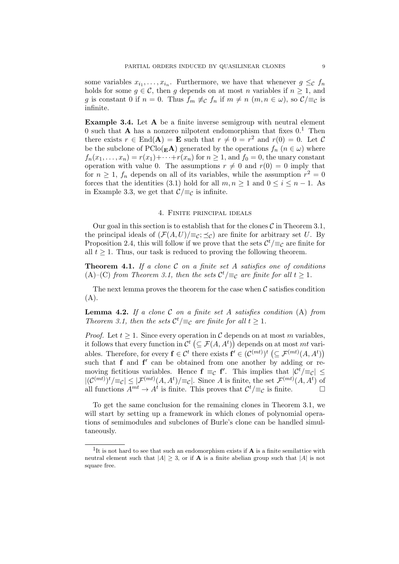some variables  $x_{i_1}, \ldots, x_{i_n}$ . Furthermore, we have that whenever  $g \leq_{\mathcal{C}} f_n$ holds for some  $g \in \mathcal{C}$ , then g depends on at most n variables if  $n \geq 1$ , and g is constant 0 if  $n = 0$ . Thus  $f_m \not\equiv_C f_n$  if  $m \neq n$   $(m, n \in \omega)$ , so  $C/\equiv_C iS$ infinite.

Example 3.4. Let A be a finite inverse semigroup with neutral element 0 such that **A** has a nonzero nilpotent endomorphism that fixes  $0<sup>1</sup>$ . Then there exists  $r \in End(A) = \mathbf{E}$  such that  $r \neq 0 = r^2$  and  $r(0) = 0$ . Let C be the subclone of  $PClo(\mathbf{E} \mathbf{A})$  generated by the operations  $f_n$   $(n \in \omega)$  where  $f_n(x_1,\ldots,x_n)=r(x_1)+\cdots+r(x_n)$  for  $n\geq 1$ , and  $f_0=0$ , the unary constant operation with value 0. The assumptions  $r \neq 0$  and  $r(0) = 0$  imply that for  $n \geq 1$ ,  $f_n$  depends on all of its variables, while the assumption  $r^2 = 0$ forces that the identities (3.1) hold for all  $m, n \ge 1$  and  $0 \le i \le n - 1$ . As in Example 3.3, we get that  $\mathcal{C}/\equiv_{\mathcal{C}}$  is infinite.

## 4. Finite principal ideals

Our goal in this section is to establish that for the clones  $\mathcal C$  in Theorem 3.1, the principal ideals of  $(\mathcal{F}(A, U)|\equiv_{\mathcal{C}}; \preceq_{\mathcal{C}})$  are finite for arbitrary set U. By Proposition 2.4, this will follow if we prove that the sets  $\mathcal{C}^t/\equiv_{\mathcal{C}}$  are finite for all  $t \geq 1$ . Thus, our task is reduced to proving the following theorem.

**Theorem 4.1.** If a clone  $C$  on a finite set A satisfies one of conditions (A)–(C) from Theorem 3.1, then the sets  $\mathcal{C}^t/\equiv_{\mathcal{C}}$  are finite for all  $t \geq 1$ .

The next lemma proves the theorem for the case when  $\mathcal C$  satisfies condition  $(A).$ 

**Lemma 4.2.** If a clone  $C$  on a finite set  $A$  satisfies condition  $(A)$  from Theorem 3.1, then the sets  $\mathcal{C}^t/\equiv_{\mathcal{C}}$  are finite for all  $t \geq 1$ .

*Proof.* Let  $t \geq 1$ . Since every operation in C depends on at most m variables, it follows that every function in  $\mathcal{C}^t$  ( $\subseteq \mathcal{F}(A, A^t)$ ) depends on at most mt variables. Therefore, for every  $f \in \mathcal{C}^t$  there exists  $f' \in (\mathcal{C}^{(mt)})^t \left( \subseteq \mathcal{F}^{(mt)}(A, A^t) \right)$ such that  $f$  and  $f'$  can be obtained from one another by adding or removing fictitious variables. Hence  $f \equiv_{\mathcal{C}} f'$ . This implies that  $|\mathcal{C}^t/\equiv_{\mathcal{C}} |\leq$  $|(\mathcal{C}^{(mt)})^t/\equiv_c |\leq |\mathcal{F}^{(mt)}(A, A^t)/\equiv_c |$ . Since A is finite, the set  $\mathcal{F}^{(mt)}(A, A^t)$  of all functions  $A^{mt} \to A^t$  is finite. This proves that  $\mathcal{C}^t / \equiv_{\mathcal{C}}$  is finite.

To get the same conclusion for the remaining clones in Theorem 3.1, we will start by setting up a framework in which clones of polynomial operations of semimodules and subclones of Burle's clone can be handled simultaneously.

<sup>&</sup>lt;sup>1</sup>It is not hard to see that such an endomorphism exists if  $A$  is a finite semilattice with neutral element such that  $|A| > 3$ , or if **A** is a finite abelian group such that  $|A|$  is not square free.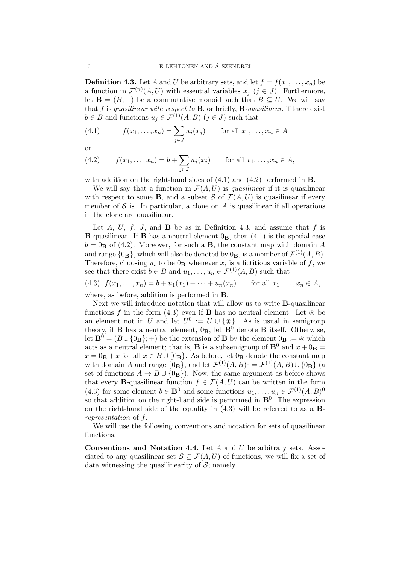**Definition 4.3.** Let A and U be arbitrary sets, and let  $f = f(x_1, \ldots, x_n)$  be a function in  $\mathcal{F}^{(n)}(A,U)$  with essential variables  $x_j$   $(j \in J)$ . Furthermore, let  $\mathbf{B} = (B; +)$  be a commutative monoid such that  $B \subseteq U$ . We will say that f is quasilinear with respect to  $\bf{B}$ , or briefly,  $\bf{B}$ -quasilinear, if there exist  $b \in B$  and functions  $u_j \in \mathcal{F}^{(1)}(A, B)$   $(j \in J)$  such that

(4.1) 
$$
f(x_1,...,x_n) = \sum_{j \in J} u_j(x_j)
$$
 for all  $x_1,...,x_n \in A$ 

or

(4.2) 
$$
f(x_1,...,x_n) = b + \sum_{j \in J} u_j(x_j)
$$
 for all  $x_1,...,x_n \in A$ ,

with addition on the right-hand sides of  $(4.1)$  and  $(4.2)$  performed in **B**.

We will say that a function in  $\mathcal{F}(A, U)$  is *quasilinear* if it is quasilinear with respect to some **B**, and a subset S of  $\mathcal{F}(A, U)$  is quasilinear if every member of  $S$  is. In particular, a clone on A is quasilinear if all operations in the clone are quasilinear.

Let  $A, U, f, J$ , and  $B$  be as in Definition 4.3, and assume that f is **B**-quasilinear. If **B** has a neutral element  $0$ <sub>**B**</sub>, then  $(4.1)$  is the special case  $b = 0$ <sub>B</sub> of (4.2). Moreover, for such a B, the constant map with domain A and range  ${0_B}$ , which will also be denoted by  ${0_B}$ , is a member of  $\mathcal{F}^{(1)}(A, B)$ . Therefore, choosing  $u_i$  to be  $0_B$  whenever  $x_i$  is a fictitious variable of f, we see that there exist  $b \in B$  and  $u_1, \ldots, u_n \in \mathcal{F}^{(1)}(A, B)$  such that

$$
(4.3) \ \ f(x_1,\ldots,x_n) = b + u_1(x_1) + \cdots + u_n(x_n) \qquad \text{for all } x_1,\ldots,x_n \in A,
$$

where, as before, addition is performed in B.

Next we will introduce notation that will allow us to write B-quasilinear functions f in the form (4.3) even if **B** has no neutral element. Let  $\otimes$  be an element not in U and let  $U^0 := U \cup \{\circledast\}$ . As is usual in semigroup theory, if **B** has a neutral element,  $0_B$ , let  $\mathbf{B}^0$  denote **B** itself. Otherwise, let  $\mathbf{B}^0 = (B \cup \{0_B\}; +)$  be the extension of **B** by the element  $0_B := \mathcal{D}$  which acts as a neutral element; that is, **B** is a subsemigroup of **B**<sup>0</sup> and  $x + 0$ **B** =  $x = 0$ **B** + x for all  $x \in B \cup \{0$ **B**. As before, let  $0$ **B** denote the constant map with domain A and range  $\{0_B\}$ , and let  $\mathcal{F}^{(1)}(A, B)^0 = \mathcal{F}^{(1)}(A, B) \cup \{0_B\}$  (a set of functions  $A \to B \cup \{0_B\}$ . Now, the same argument as before shows that every **B**-quasilinear function  $f \in \mathcal{F}(A, U)$  can be written in the form (4.3) for some element  $b \in \mathbf{B}^0$  and some functions  $u_1, \ldots, u_n \in \mathcal{F}^{(1)}(A, B)^0$ so that addition on the right-hand side is performed in  $\mathbf{B}^0$ . The expression on the right-hand side of the equality in  $(4.3)$  will be referred to as a **B**representation of f.

We will use the following conventions and notation for sets of quasilinear functions.

**Conventions and Notation 4.4.** Let  $A$  and  $U$  be arbitrary sets. Associated to any quasilinear set  $\mathcal{S} \subseteq \mathcal{F}(A, U)$  of functions, we will fix a set of data witnessing the quasilinearity of  $S$ ; namely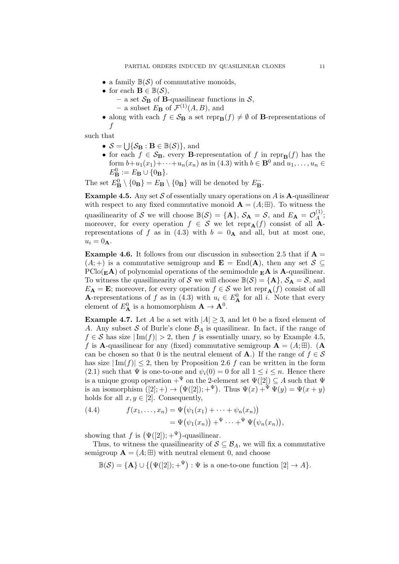- a family  $\mathbb{B}(\mathcal{S})$  of commutative monoids,
- for each  $\mathbf{B} \in \mathbb{B}(\mathcal{S}),$ 
	- a set  $S_B$  of B-quasilinear functions in  $S$ , - a subset  $E_{\mathbf{B}}$  of  $\mathcal{F}^{(1)}(A, B)$ , and
- along with each  $f \in \mathcal{S}_B$  a set repr $_B(f) \neq \emptyset$  of B-representations of f

such that

- $S = \bigcup \{ S_{\mathbf{B}} : \mathbf{B} \in \mathbb{B}(\mathcal{S}) \},\$ and
- for each  $f \in \mathcal{S}_B$ , every B-representation of f in repr $_B(f)$  has the form  $b+u_1(x_1)+\cdots+u_n(x_n)$  as in (4.3) with  $b \in \mathbf{B}^0$  and  $u_1, \ldots, u_n \in$  $E_{\mathbf{B}}^0 := E_{\mathbf{B}} \cup \{0_{\mathbf{B}}\}.$

The set  $E^0_{\mathbf{B}} \setminus \{0_{\mathbf{B}}\} = E_{\mathbf{B}} \setminus \{0_{\mathbf{B}}\}$  will be denoted by  $E_{\mathbf{B}}^-$ .

**Example 4.5.** Any set S of essentially unary operations on A is A-quasilinear with respect to any fixed commutative monoid  $\mathbf{A} = (A; \mathbb{H})$ . To witness the quasilinearity of S we will choose  $\mathbb{B}(\mathcal{S}) = {\mathbf{A}}$ ,  $\mathcal{S}_{\mathbf{A}} = \mathcal{S}$ , and  $E_{\mathbf{A}} = \mathcal{O}_{\mathcal{A}}^{(1)}$  $\mathcal{A}^{(1)}$ ; moreover, for every operation  $f \in \mathcal{S}$  we let repr $_{\mathbf{A}}(f)$  consist of all  $\mathbf{A}$ representations of f as in (4.3) with  $b = 0$ <sup>A</sup> and all, but at most one,  $u_i = 0_A$ .

**Example 4.6.** It follows from our discussion in subsection 2.5 that if  $A =$  $(A; +)$  is a commutative semigroup and  $\mathbf{E} = \text{End}(\mathbf{A})$ , then any set  $S \subseteq$  $\text{PClo}(\mathbf{E}.\mathbf{A})$  of polynomial operations of the semimodule  $\mathbf{E}.\mathbf{A}$  is  $\mathbf{A}$ -quasilinear. To witness the quasilinearity of S we will choose  $\mathbb{B}(\mathcal{S}) = {\mathbf{A}}, \mathcal{S}_{\mathbf{A}} = \mathcal{S}$ , and  $E_{\mathbf{A}} = \mathbf{E}$ ; moreover, for every operation  $f \in \mathcal{S}$  we let repr $_{\mathbf{A}}(f)$  consist of all **A**-representations of f as in (4.3) with  $u_i \in E^0_A$  for all i. Note that every element of  $E^0_{\mathbf{A}}$  is a homomorphism  $\mathbf{A} \to \mathbf{A}^0$ .

**Example 4.7.** Let A be a set with  $|A| \geq 3$ , and let 0 be a fixed element of A. Any subset S of Burle's clone  $\mathcal{B}_A$  is quasilinear. In fact, if the range of  $f \in \mathcal{S}$  has size  $|\text{Im}(f)| > 2$ , then f is essentially unary, so by Example 4.5, f is **A**-quasilinear for any (fixed) commutative semigroup  $\mathbf{A} = (A; \mathbb{H})$ . (**A** can be chosen so that 0 is the neutral element of **A**.) If the range of  $f \in \mathcal{S}$ has size  $|\text{Im}(f)| \leq 2$ , then by Proposition 2.6 f can be written in the form (2.1) such that  $\Psi$  is one-to-one and  $\psi_i(0) = 0$  for all  $1 \leq i \leq n$ . Hence there is a unique group operation  $+^{\Psi}$  on the 2-element set  $\Psi([2]) \subseteq A$  such that  $\Psi$ is an isomorphism  $([2]; +) \rightarrow (\Psi([2]); +^{\Psi})$ . Thus  $\Psi(x) +^{\Psi} \Psi(y) = \Psi(x + y)$ holds for all  $x, y \in [2]$ . Consequently,

(4.4) 
$$
f(x_1,...,x_n) = \Psi(\psi_1(x_1) + \cdots + \psi_n(x_n))
$$

$$
= \Psi(\psi_1(x_n)) + \Psi \cdots + \Psi(\psi_n(x_n)),
$$

showing that f is  $(\Psi([2]); +^{\Psi})$ -quasilinear.

Thus, to witness the quasilinearity of  $S \subseteq \mathcal{B}_A$ , we will fix a commutative semigroup  $\mathbf{A} = (A; \mathbb{H})$  with neutral element 0, and choose

 $\mathbb{B}(\mathcal{S}) = {\mathbf{A}} \cup \{ (\Psi([2]); +^{\Psi}) : \Psi \text{ is a one-to-one function } [2] \to A \}.$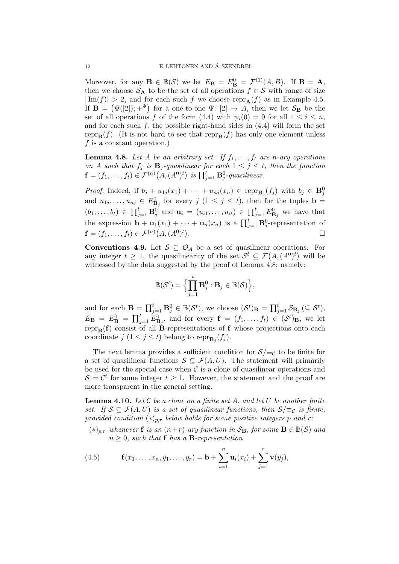Moreover, for any  $\mathbf{B} \in \mathbb{B}(\mathcal{S})$  we let  $E_\mathbf{B} = E_\mathbf{B}^0 = \mathcal{F}^{(1)}(A, B)$ . If  $\mathbf{B} = \mathbf{A}$ , then we choose  $S_A$  to be the set of all operations  $f \in S$  with range of size  $|\text{Im}(f)| > 2$ , and for each such f we choose repr $_{\mathbf{A}}(f)$  as in Example 4.5. If  $\mathbf{B} = (\Psi(2)) ; +^{\Psi}$  for a one-to-one  $\Psi : [2] \to A$ , then we let  $S_{\mathbf{B}}$  be the set of all operations f of the form (4.4) with  $\psi_i(0) = 0$  for all  $1 \leq i \leq n$ , and for each such  $f$ , the possible right-hand sides in  $(4.4)$  will form the set repr<sub>B</sub> $(f)$ . (It is not hard to see that repr<sub>B</sub> $(f)$  has only one element unless  $f$  is a constant operation.)

**Lemma 4.8.** Let A be an arbitrary set. If  $f_1, \ldots, f_t$  are n-ary operations on A such that  $f_j$  is  $B_j$ -quasilinear for each  $1 \leq j \leq t$ , then the function  $\mathbf{f}=(f_1,\ldots,f_t)\in\mathcal{F}^{(n)}\bigl(A,(A^0)^t\bigr)$  is  $\prod_{j=1}^t\mathbf{B}_j^0\text{-}quasilinear.$ 

*Proof.* Indeed, if  $b_j + u_{1j}(x_1) + \cdots + u_{nj}(x_n) \in \text{repr}_{B_j}(f_j)$  with  $b_j \in B_j^0$ and  $u_{1j}, \ldots, u_{nj} \in E_{\mathbf{B}_j}^0$  for every  $j$   $(1 \leq j \leq t)$ , then for the tuples  $\mathbf{b} =$  $(b_1,\ldots,b_t) \in \prod_{j=1}^t \mathbf{B}_j^0$  and  $\mathbf{u}_i = (u_{i1},\ldots,u_{it}) \in \prod_{j=1}^t E_{\mathbf{B}_j}^0$  we have that the expression  $\mathbf{b} + \mathbf{u}_1(x_1) + \cdots + \mathbf{u}_n(x_n)$  is a  $\prod_{j=1}^t \mathbf{B}_j^0$ -representation of  $\mathbf{f}=(f_1,\ldots,f_t)\in\mathcal{F}^{(n)}\big(A,(A^0)^t\big)$ . В последните последните последните и последните последните последните последните последните последните после<br>В последните последните последните последните последните последните последните последните последните последнит

Conventions 4.9. Let  $S \subseteq \mathcal{O}_A$  be a set of quasilinear operations. For any integer  $t \geq 1$ , the quasilinearity of the set  $\mathcal{S}^t \subseteq \mathcal{F}(A, (A^0)^t)$  will be witnessed by the data suggested by the proof of Lemma 4.8; namely:

$$
\mathbb{B}(\mathcal{S}^t) = \Big\{\prod_{j=1}^t \mathbf{B}_j^0 : \mathbf{B}_j \in \mathbb{B}(\mathcal{S})\Big\},\
$$

and for each  $\mathbf{B} = \prod_{j=1}^t \mathbf{B}_j^0 \in \mathbb{B}(\mathcal{S}^t)$ , we choose  $(\mathcal{S}^t)_\mathbf{B} = \prod_{j=1}^t \mathcal{S}_{\mathbf{B}_j} \subseteq \mathcal{S}^t$ ,  $E_{\mathbf{B}} = E_{\mathbf{B}}^0 = \prod_{j=1}^t E_{\mathbf{B}_j}^0$ , and for every  $\mathbf{f} = (f_1, \ldots, f_t) \in (\mathcal{S}^t)_{\mathbf{B}}$ , we let repr $_B(f)$  consist of all B-representations of f whose projections onto each coordinate  $j$   $(1 \leq j \leq t)$  belong to repr $_{\mathbf{B}_j}(f_j)$ .

The next lemma provides a sufficient condition for  $S/\equiv_{\mathcal{C}}$  to be finite for a set of quasilinear functions  $S \subseteq \mathcal{F}(A, U)$ . The statement will primarily be used for the special case when  $\mathcal C$  is a clone of quasilinear operations and  $S = C<sup>t</sup>$  for some integer  $t \geq 1$ . However, the statement and the proof are more transparent in the general setting.

**Lemma 4.10.** Let  $\mathcal C$  be a clone on a finite set  $A$ , and let  $U$  be another finite set. If  $S \subseteq \mathcal{F}(A, U)$  is a set of quasilinear functions, then  $S/\equiv_C$  is finite, provided condition  $(*)_{p,r}$  below holds for some positive integers p and r:

 $(*)_{n,r}$  whenever f is an  $(n+r)$ -ary function in  $\mathcal{S}_{\mathbf{B}}$ , for some  $\mathbf{B} \in \mathbb{B}(\mathcal{S})$  and  $n \geq 0$ , such that **f** has a **B**-representation

(4.5) 
$$
\mathbf{f}(x_1,\ldots,x_n,y_1,\ldots,y_r) = \mathbf{b} + \sum_{i=1}^n \mathbf{u}_i(x_i) + \sum_{j=1}^r \mathbf{v}(y_j),
$$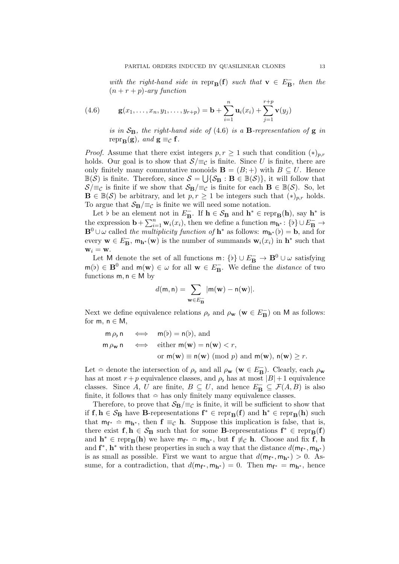with the right-hand side in repr $_{\mathbf{B}}(\mathbf{f})$  such that  $\mathbf{v} \in E_{\mathbf{B}}^-$ , then the  $(n + r + p)$ -ary function

(4.6) 
$$
\mathbf{g}(x_1,\ldots,x_n,y_1,\ldots,y_{r+p}) = \mathbf{b} + \sum_{i=1}^n \mathbf{u}_i(x_i) + \sum_{j=1}^{r+p} \mathbf{v}(y_j)
$$

is in  $S_B$ , the right-hand side of (4.6) is a **B**-representation of **g** in repr<sub>B</sub>(g), and  $g \equiv_{\mathcal{C}} f$ .

*Proof.* Assume that there exist integers  $p, r \geq 1$  such that condition  $(*)_{p,r}$ holds. Our goal is to show that  $S/\equiv_{\mathcal{C}}$  is finite. Since U is finite, there are only finitely many commutative monoids  $\mathbf{B} = (B; +)$  with  $B \subseteq U$ . Hence  $\mathbb{B}(\mathcal{S})$  is finite. Therefore, since  $\mathcal{S} = \bigcup \{ \mathcal{S}_B : B \in \mathbb{B}(\mathcal{S}) \}$ , it will follow that  $S/\equiv_C$  is finite if we show that  $S_B/\equiv_C$  is finite for each  $B \in \mathbb{B}(\mathcal{S})$ . So, let  $\mathbf{B} \in \mathbb{B}(\mathcal{S})$  be arbitrary, and let  $p, r \geq 1$  be integers such that  $(*)_{p,r}$  holds. To argue that  $S_{\mathbf{B}}/\equiv_{\mathcal{C}}$  is finite we will need some notation.

Let b be an element not in  $E_{\mathbf{B}}^-$ . If  $\mathbf{h} \in \mathcal{S}_{\mathbf{B}}$  and  $\mathbf{h}^* \in \text{repr}_{\mathbf{B}}(\mathbf{h})$ , say  $\mathbf{h}^*$  is the expression  $\mathbf{b} + \sum_{i=1}^n \mathbf{w}_i(x_i)$ , then we define a function  $\mathbf{m}_{\mathbf{h}^*}$ : {b}  $\cup E_{\mathbf{B}}^- \to$  $\mathbf{B}^0 \cup \omega$  called the multiplicity function of  $\mathbf{h}^*$  as follows:  $m_{\mathbf{h}^*}(\mathfrak{b}) = \mathbf{b}$ , and for every  $\mathbf{w} \in E_{\mathbf{B}}^{\dagger}$ ,  $\mathsf{m}_{\mathbf{h}^*}(\mathbf{w})$  is the number of summands  $\mathbf{w}_i(x_i)$  in  $\mathbf{h}^*$  such that  $w_i = w$ .

Let M denote the set of all functions  $\mathsf{m} \colon \{\flat\} \cup E^-_\mathbf{B} \to \mathbf{B}^0 \cup \omega$  satisfying  $m(b) \in \mathbf{B}^0$  and  $m(\mathbf{w}) \in \omega$  for all  $\mathbf{w} \in E_{\mathbf{B}}^-$ . We define the *distance* of two functions  $m, n \in M$  by

$$
d(\mathsf{m},\mathsf{n})=\sum_{\mathbf{w}\in E_{\mathbf{B}}^{-}}|\mathsf{m}(\mathbf{w})-\mathsf{n}(\mathbf{w})|.
$$

Next we define equivalence relations  $\rho_{\rm b}$  and  $\rho_{\rm w}$  ( ${\rm w} \in E_{\rm B}^{-}$ ) on M as follows: for  $m, n \in M$ ,

$$
\begin{array}{rcl}\n\mathsf{m}\,\rho_{\mathfrak{b}}\,\mathsf{n} & \Longleftrightarrow & \mathsf{m}(\mathfrak{b}) = \mathsf{n}(\mathfrak{b}), \text{ and} \\
\mathsf{m}\,\rho_{\mathbf{w}}\,\mathsf{n} & \Longleftrightarrow & \text{either } \mathsf{m}(\mathbf{w}) = \mathsf{n}(\mathbf{w}) < r, \\
& \text{or } \mathsf{m}(\mathbf{w}) \equiv \mathsf{n}(\mathbf{w}) \pmod{p} \text{ and } \mathsf{m}(\mathbf{w}), \mathsf{n}(\mathbf{w}) \ge r.\n\end{array}
$$

Let  $\hat{=}$  denote the intersection of  $\rho_{\flat}$  and all  $\rho_{\bf w}$  ( ${\bf w} \in E_{\bf B}^-$ ). Clearly, each  $\rho_{\bf w}$ has at most  $r + p$  equivalence classes, and  $\rho_b$  has at most  $|B| + 1$  equivalence classes. Since  $A, U$  are finite,  $B \subseteq U$ , and hence  $E_{\mathbf{B}} \subseteq \mathcal{F}(A, B)$  is also finite, it follows that  $\hat{=}$  has only finitely many equivalence classes.

Therefore, to prove that  $\mathcal{S}_B/\equiv_c$  is finite, it will be sufficient to show that if  $f, h \in S_B$  have B-representations  $f^* \in \text{repr}_B(f)$  and  $h^* \in \text{repr}_B(h)$  such that  $m_{f^*} \approx m_{h^*}$ , then  $f \equiv_C h$ . Suppose this implication is false, that is, there exist  $f, h \in \mathcal{S}_B$  such that for some **B**-representations  $f^* \in \text{repr}_B(f)$ and  $\mathbf{h}^* \in \text{repr}_{\mathbf{B}}(\mathbf{h})$  we have  $m_{\mathbf{f}^*} \simeq m_{\mathbf{h}^*}$ , but  $\mathbf{f} \not\equiv_{\mathcal{C}} \mathbf{h}$ . Choose and fix  $\mathbf{f}$ ,  $\mathbf{h}$ and  $f^*, h^*$  with these properties in such a way that the distance  $d(m_{f^*}, m_{h^*})$ is as small as possible. First we want to argue that  $d(\mathsf{m}_{\mathbf{f}^*}, \mathsf{m}_{\mathbf{h}^*}) > 0$ . Assume, for a contradiction, that  $d(\mathsf{m}_{\mathbf{f}^*}, \mathsf{m}_{\mathbf{h}^*}) = 0$ . Then  $\mathsf{m}_{\mathbf{f}^*} = \mathsf{m}_{\mathbf{h}^*}$ , hence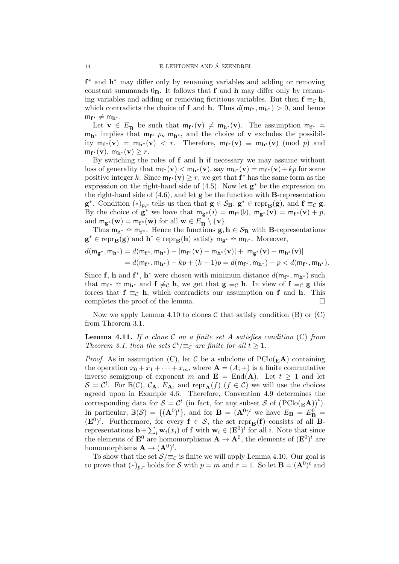f<sup>\*</sup> and **h**<sup>\*</sup> may differ only by renaming variables and adding or removing constant summands  $0<sub>B</sub>$ . It follows that f and h may differ only by renaming variables and adding or removing fictitious variables. But then  $f \equiv_{\mathcal{C}} h$ , which contradicts the choice of **f** and **h**. Thus  $d(\mathbf{m_{f^*}}, \mathbf{m_{h^*}}) > 0$ , and hence  $m_{f^*} \neq m_{h^*}$ .

Let  $\mathbf{v} \in E_{\mathbf{B}}^-$  be such that  $m_{\mathbf{f}^*}(\mathbf{v}) \neq m_{\mathbf{h}^*}(\mathbf{v})$ . The assumption  $m_{\mathbf{f}^*} \simeq$  $m_{h^*}$  implies that  $m_{f^*} \rho_v m_{h^*}$ , and the choice of v excludes the possibility  $m_{f^*}(\mathbf{v}) = m_{h^*}(\mathbf{v}) < r$ . Therefore,  $m_{f^*}(\mathbf{v}) \equiv m_{h^*}(\mathbf{v}) \pmod{p}$  and  $m_{\mathbf{f}^*}(\mathbf{v}), m_{\mathbf{h}^*}(\mathbf{v}) \geq r.$ 

By switching the roles of  $f$  and  $h$  if necessary we may assume without loss of generality that  $m_{f^*}(\mathbf{v}) < m_{\mathbf{h}^*}(\mathbf{v})$ , say  $m_{\mathbf{h}^*}(\mathbf{v}) = m_{f^*}(\mathbf{v}) + kp$  for some positive integer k. Since  $m_{f^*}(\mathbf{v}) \geq r$ , we get that  $f^*$  has the same form as the expression on the right-hand side of  $(4.5)$ . Now let  $g^*$  be the expression on the right-hand side of  $(4.6)$ , and let  $g$  be the function with **B**-representation  $\mathbf{g}^*$ . Condition  $(*)_{p,r}$  tells us then that  $\mathbf{g} \in \mathcal{S}_{\mathbf{B}}$ ,  $\mathbf{g}^* \in \text{repr}_{\mathbf{B}}(\mathbf{g})$ , and  $\mathbf{f} \equiv_{\mathcal{C}} \mathbf{g}$ . By the choice of  $\mathbf{g}^*$  we have that  $m_{\mathbf{g}^*}(\mathbf{b}) = m_{\mathbf{f}^*}(\mathbf{b}), m_{\mathbf{g}^*}(\mathbf{v}) = m_{\mathbf{f}^*}(\mathbf{v}) + p$ , and  $m_{\mathbf{g}^*}(\mathbf{w}) = m_{\mathbf{f}^*}(\mathbf{w})$  for all  $\mathbf{w} \in E_{\mathbf{B}}^{\sim} \setminus {\mathbf{v}}$ .

Thus  $m_{g^*}$   $\hat{m}_{f^*}$ . Hence the functions  $g, h \in S_B$  with B-representations  $\mathbf{g}^* \in \text{repr}_{\mathbf{B}}(\mathbf{g})$  and  $\mathbf{h}^* \in \text{repr}_{\mathbf{B}}(\mathbf{h})$  satisfy  $\mathbf{m}_{\mathbf{g}^*} \simeq \mathbf{m}_{\mathbf{h}^*}$ . Moreover,

$$
d(\mathbf{m}_{\mathbf{g}^*}, \mathbf{m}_{\mathbf{h}^*}) = d(\mathbf{m}_{\mathbf{f}^*}, \mathbf{m}_{\mathbf{h}^*}) - |\mathbf{m}_{\mathbf{f}^*}(\mathbf{v}) - \mathbf{m}_{\mathbf{h}^*}(\mathbf{v})| + |\mathbf{m}_{\mathbf{g}^*}(\mathbf{v}) - \mathbf{m}_{\mathbf{h}^*}(\mathbf{v})|
$$
  
=  $d(\mathbf{m}_{\mathbf{f}^*}, \mathbf{m}_{\mathbf{h}^*}) - kp + (k - 1)p = d(\mathbf{m}_{\mathbf{f}^*}, \mathbf{m}_{\mathbf{h}^*}) - p < d(\mathbf{m}_{\mathbf{f}^*}, \mathbf{m}_{\mathbf{h}^*}).$ 

Since f, h and f<sup>\*</sup>, h<sup>\*</sup> were chosen with minimum distance  $d(\mathsf{m}_{f^*}, \mathsf{m}_{h^*})$  such that  $m_{f^*}$   $\approx$   $m_{h^*}$  and  $f \not\equiv_C h$ , we get that  $g \equiv_C h$ . In view of  $f \equiv_C g$  this forces that  $f \equiv_{\mathcal{C}} h$ , which contradicts our assumption on f and h. This completes the proof of the lemma.  $\Box$ 

Now we apply Lemma 4.10 to clones  $\mathcal C$  that satisfy condition (B) or (C) from Theorem 3.1.

**Lemma 4.11.** If a clone  $C$  on a finite set A satisfies condition  $(C)$  from Theorem 3.1, then the sets  $\mathcal{C}^t/\equiv_{\mathcal{C}}$  are finite for all  $t \geq 1$ .

*Proof.* As in assumption (C), let C be a subclone of  $\text{PClo}(\mathbf{E} \mathbf{A})$  containing the operation  $x_0 + x_1 + \cdots + x_m$ , where  $\mathbf{A} = (A; +)$  is a finite commutative inverse semigroup of exponent m and  $\mathbf{E} = \text{End}(\mathbf{A})$ . Let  $t \geq 1$  and let  $\mathcal{S} = \mathcal{C}^t$ . For  $\mathbb{B}(\mathcal{C})$ ,  $\mathcal{C}_A$ ,  $E_A$ , and repr $_A(f)$   $(f \in \mathcal{C})$  we will use the choices agreed upon in Example 4.6. Therefore, Convention 4.9 determines the corresponding data for  $S = C^t$  (in fact, for any subset S of  $(PClo(\mathbf{E} \mathbf{A}))^t$ ). In particular,  $\mathbb{B}(\mathcal{S}) = \{(\mathbf{A}^0)^t\}$ , and for  $\mathbf{B} = (\mathbf{A}^0)^t$  we have  $E_{\mathbf{B}} = E_{\mathbf{B}}^0 =$  $(\mathbf{E}^{0})^{t}$ . Furthermore, for every  $\mathbf{f} \in \mathcal{S}$ , the set repr<sub>B</sub>(f) consists of all Brepresentations  $\mathbf{b} + \sum_i \mathbf{w}_i(x_i)$  of **f** with  $\mathbf{w}_i \in (\mathbf{E}^0)^t$  for all i. Note that since the elements of  $\mathbf{E}^0$  are homomorphisms  $\mathbf{A} \to \mathbf{A}^0$ , the elements of  $(\mathbf{E}^0)^t$  are homomorphisms  $\mathbf{A} \to (\mathbf{A}^0)^t$ .

To show that the set  $S/\equiv_{\mathcal{C}}$  is finite we will apply Lemma 4.10. Our goal is to prove that  $(*)_{p,r}$  holds for S with  $p = m$  and  $r = 1$ . So let  $\mathbf{B} = (\mathbf{A}^0)^t$  and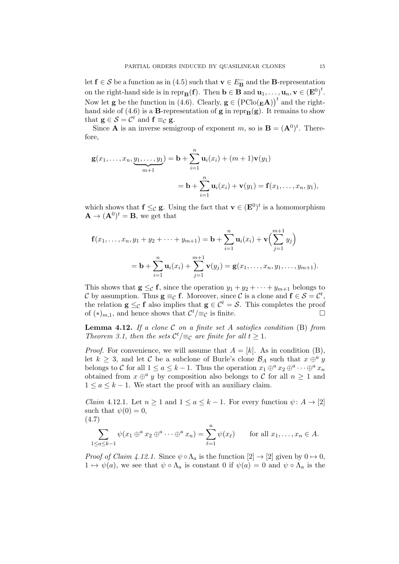let  $f \in S$  be a function as in (4.5) such that  $v \in E_B^-$  and the **B**-representation on the right-hand side is in repr $_{\mathbf{B}}(\mathbf{f})$ . Then  $\mathbf{b} \in \mathbf{B}$  and  $\mathbf{u}_1, \ldots, \mathbf{u}_n, \mathbf{v} \in (\mathbf{E}^0)^t$ . Now let **g** be the function in (4.6). Clearly,  $\mathbf{g} \in (\text{PClo}(\mathbf{g}\mathbf{A}))^t$  and the righthand side of (4.6) is a **B**-representation of **g** in repr<sub>B</sub>(g). It remains to show that  $g \in \mathcal{S} = \mathcal{C}^t$  and  $f \equiv_{\mathcal{C}} g$ .

Since **A** is an inverse semigroup of exponent m, so is  $\mathbf{B} = (\mathbf{A}^0)^t$ . Therefore,

$$
\mathbf{g}(x_1,\ldots,x_n,\underbrace{y_1,\ldots,y_1}_{m+1}) = \mathbf{b} + \sum_{i=1}^n \mathbf{u}_i(x_i) + (m+1)\mathbf{v}(y_1)
$$
  
=  $\mathbf{b} + \sum_{i=1}^n \mathbf{u}_i(x_i) + \mathbf{v}(y_1) = \mathbf{f}(x_1,\ldots,x_n,y_1),$ 

which shows that  $f \leq_{\mathcal{C}} g$ . Using the fact that  $\mathbf{v} \in (\mathbf{E}^0)^t$  is a homomorphism  $\mathbf{A} \to (\mathbf{A}^0)^t = \mathbf{B}$ , we get that

$$
\mathbf{f}(x_1,\ldots,x_n,y_1+y_2+\cdots+y_{m+1})=\mathbf{b}+\sum_{i=1}^n\mathbf{u}_i(x_i)+\mathbf{v}\Big(\sum_{j=1}^{m+1}y_j\Big) \n= \mathbf{b}+\sum_{i=1}^n\mathbf{u}_i(x_i)+\sum_{j=1}^{m+1}\mathbf{v}(y_j)=\mathbf{g}(x_1,\ldots,x_n,y_1,\ldots,y_{m+1}).
$$

This shows that  $g \leq_{\mathcal{C}} f$ , since the operation  $y_1 + y_2 + \cdots + y_{m+1}$  belongs to C by assumption. Thus  $g \equiv_{\mathcal{C}} f$ . Moreover, since C is a clone and  $f \in S = \mathcal{C}^t$ , the relation  $\mathbf{g} \leq_{\mathcal{C}} \mathbf{f}$  also implies that  $\mathbf{g} \in \mathcal{C}^t = \mathcal{S}$ . This completes the proof of  $(*)_{m,1}$ , and hence shows that  $\mathcal{C}^t/\equiv_{\mathcal{C}}$  is finite.

**Lemma 4.12.** If a clone  $C$  on a finite set A satisfies condition  $(B)$  from Theorem 3.1, then the sets  $\mathcal{C}^t/\equiv_{\mathcal{C}}$  are finite for all  $t \geq 1$ .

*Proof.* For convenience, we will assume that  $A = [k]$ . As in condition (B), let  $k \geq 3$ , and let C be a subclone of Burle's clone  $\mathcal{B}_A$  such that  $x \oplus^a y$ belongs to C for all  $1 \le a \le k-1$ . Thus the operation  $x_1 \oplus^a x_2 \oplus^a \cdots \oplus^a x_n$ obtained from  $x \oplus^a y$  by composition also belongs to C for all  $n \geq 1$  and  $1 \le a \le k-1$ . We start the proof with an auxiliary claim.

*Claim* 4.12.1. Let  $n \geq 1$  and  $1 \leq a \leq k-1$ . For every function  $\psi: A \to [2]$ such that  $\psi(0) = 0$ , (4.7)

$$
\sum_{1 \leq a \leq k-1} \psi(x_1 \oplus^a x_2 \oplus^a \cdots \oplus^a x_n) = \sum_{\ell=1}^n \psi(x_\ell) \quad \text{for all } x_1, \ldots, x_n \in A.
$$

*Proof of Claim 4.12.1.* Since  $\psi \circ \Lambda_a$  is the function  $[2] \to [2]$  given by  $0 \mapsto 0$ ,  $1 \mapsto \psi(a)$ , we see that  $\psi \circ \Lambda_a$  is constant 0 if  $\psi(a) = 0$  and  $\psi \circ \Lambda_a$  is the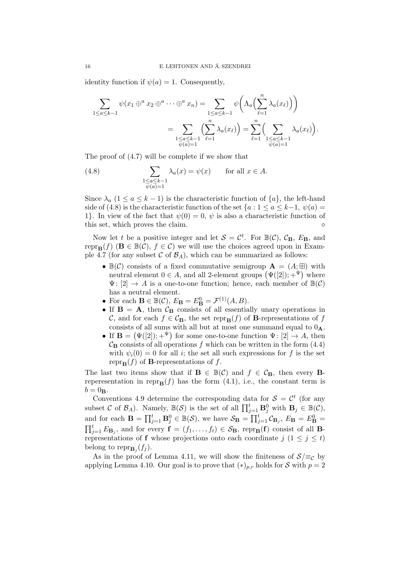identity function if  $\psi(a) = 1$ . Consequently,

$$
\sum_{1 \le a \le k-1} \psi(x_1 \oplus^a x_2 \oplus^a \cdots \oplus^a x_n) = \sum_{\substack{1 \le a \le k-1 \\ \psi(a) = 1}} \psi\left(\Lambda_a\left(\sum_{\ell=1}^n \lambda_a(x_\ell)\right)\right)
$$

$$
= \sum_{\substack{1 \le a \le k-1 \\ \psi(a) = 1}} \left(\sum_{\ell=1}^n \lambda_a(x_\ell)\right) = \sum_{\ell=1}^n \left(\sum_{\substack{1 \le a \le k-1 \\ \psi(a) = 1}} \lambda_a(x_\ell)\right).
$$

The proof of (4.7) will be complete if we show that

(4.8) 
$$
\sum_{\substack{1 \le a \le k-1 \\ \psi(a)=1}} \lambda_a(x) = \psi(x) \quad \text{for all } x \in A.
$$

Since  $\lambda_a$  (1 ≤ a ≤ k - 1) is the characteristic function of  $\{a\}$ , the left-hand side of (4.8) is the characteristic function of the set  $\{a: 1 \le a \le k-1, \psi(a) =$ 1}. In view of the fact that  $\psi(0) = 0$ ,  $\psi$  is also a characteristic function of this set, which proves the claim.

Now let t be a positive integer and let  $S = \mathcal{C}^t$ . For  $\mathbb{B}(\mathcal{C})$ ,  $\mathcal{C}_B$ ,  $E_B$ , and repr<sub>B</sub>(f) ( $B \in \mathbb{B}(\mathcal{C})$ ,  $f \in \mathcal{C}$ ) we will use the choices agreed upon in Example 4.7 (for any subset C of  $\mathcal{B}_A$ ), which can be summarized as follows:

- $\mathbb{B}(\mathcal{C})$  consists of a fixed commutative semigroup  $\mathbf{A} = (A; \mathbb{H})$  with neutral element  $0 \in A$ , and all 2-element groups  $(\Psi([2]); +^{\Psi})$  where  $\Psi: [2] \rightarrow A$  is a one-to-one function; hence, each member of  $\mathbb{B}(\mathcal{C})$ has a neutral element.
- For each  $\mathbf{B} \in \mathbb{B}(\mathcal{C}), E_{\mathbf{B}} = E_{\mathbf{B}}^0 = \mathcal{F}^{(1)}(A, B).$
- If  $B = A$ , then  $C_B$  consists of all essentially unary operations in C, and for each  $f \in C_{\mathbf{B}}$ , the set repr $_{\mathbf{B}}(f)$  of **B**-representations of f consists of all sums with all but at most one summand equal to  $0_A$ .
- If  $\mathbf{B} = (\Psi([2]); +^{\Psi})$  for some one-to-one function  $\Psi : [2] \to A$ , then  $\mathcal{C}_{\mathbf{B}}$  consists of all operations f which can be written in the form (4.4) with  $\psi_i(0) = 0$  for all *i*; the set all such expressions for f is the set repr $_{\mathbf{B}}(f)$  of **B**-representations of f.

The last two items show that if  $\mathbf{B} \in \mathbb{B}(\mathcal{C})$  and  $f \in \mathcal{C}_{\mathbf{B}}$ , then every **B**reperesentation in repr $_B(f)$  has the form (4.1), i.e., the constant term is  $b = 0$ **B**.

Conventions 4.9 determine the corresponding data for  $S = \mathcal{C}^t$  (for any subset C of  $\mathcal{B}_A$ ). Namely,  $\mathbb{B}(\mathcal{S})$  is the set of all  $\prod_{j=1}^t \mathbf{B}_j^0$  with  $\mathbf{B}_j \in \mathbb{B}(\mathcal{C})$ , and for each  $\mathbf{B} = \prod_{j=1}^t \mathbf{B}_j^0 \in \mathbb{B}(\mathcal{S})$ , we have  $\mathcal{S}_{\mathbf{B}} = \prod_{j=1}^t \mathcal{C}_{\mathbf{B}_j}$ ,  $E_{\mathbf{B}} = E_{\mathbf{B}}^0 =$  $\prod_{j=1}^t E_{\mathbf{B}_j}$ , and for every  $\mathbf{f} = (f_1, \ldots, f_t) \in \mathcal{S}_{\mathbf{B}}$ , repr<sub>B</sub>(f) consist of all Brepresentations of f whose projections onto each coordinate j  $(1 \leq j \leq t)$ belong to  $\text{repr}_{\mathbf{B}_j}(f_j)$ .

As in the proof of Lemma 4.11, we will show the finiteness of  $S/\equiv_{\mathcal{C}}$  by applying Lemma 4.10. Our goal is to prove that  $(*)_{p,r}$  holds for S with  $p = 2$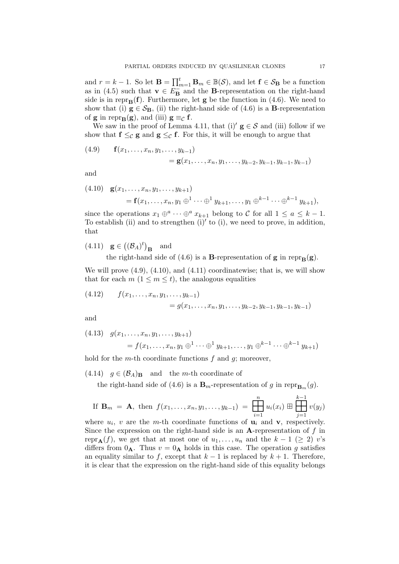and  $r = k - 1$ . So let  $\mathbf{B} = \prod_{m=1}^{t} \mathbf{B}_m \in \mathbb{B}(\mathcal{S})$ , and let  $\mathbf{f} \in \mathcal{S}_{\mathbf{B}}$  be a function as in (4.5) such that  $\mathbf{v} \in E_{\mathbf{B}}^{-1}$  and the **B**-representation on the right-hand side is in repr $_B(f)$ . Furthermore, let g be the function in (4.6). We need to show that (i)  $g \in S_B$ , (ii) the right-hand side of (4.6) is a **B**-representation of **g** in repr<sub>B</sub>(**g**), and (iii)  $g \equiv_C f$ .

We saw in the proof of Lemma 4.11, that (i)'  $g \in S$  and (iii) follow if we show that  $f \leq_{\mathcal{C}} g$  and  $g \leq_{\mathcal{C}} f$ . For this, it will be enough to argue that

(4.9) 
$$
\mathbf{f}(x_1,\ldots,x_n,y_1,\ldots,y_{k-1}) = \mathbf{g}(x_1,\ldots,x_n,y_1,\ldots,y_{k-2},y_{k-1},y_{k-1},y_{k-1})
$$

and

(4.10) 
$$
\mathbf{g}(x_1, ..., x_n, y_1, ..., y_{k+1})
$$
  
=  $\mathbf{f}(x_1, ..., x_n, y_1 \oplus^1 \cdots \oplus^1 y_{k+1}, ..., y_1 \oplus^{k-1} \cdots \oplus^{k-1} y_{k+1}),$ 

since the operations  $x_1 \oplus^a \cdots \oplus^a x_{k+1}$  belong to C for all  $1 \le a \le k-1$ . To establish (ii) and to strengthen  $(i)'$  to  $(i)$ , we need to prove, in addition, that

(4.11) 
$$
\mathbf{g} \in ((\mathcal{B}_A)^t)_{\mathbf{B}}
$$
 and

the right-hand side of (4.6) is a **B**-representation of **g** in repr $_B(g)$ .

We will prove  $(4.9)$ ,  $(4.10)$ , and  $(4.11)$  coordinatewise; that is, we will show that for each  $m$   $(1 \leq m \leq t)$ , the analogous equalities

(4.12) 
$$
f(x_1,...,x_n,y_1,...,y_{k-1}) = g(x_1,...,x_n,y_1,...,y_{k-2},y_{k-1},y_{k-1},y_{k-1})
$$

and

$$
(4.13) \quad g(x_1, \dots, x_n, y_1, \dots, y_{k+1})
$$
  
=  $f(x_1, \dots, x_n, y_1 \oplus^1 \dots \oplus^1 y_{k+1}, \dots, y_1 \oplus^{k-1} \dots \oplus^{k-1} y_{k+1})$ 

hold for the *m*-th coordinate functions  $f$  and  $q$ ; moreover,

(4.14)  $g \in (\mathcal{B}_A)_{\mathbf{B}}$  and the *m*-th coordinate of

the right-hand side of (4.6) is a  $\mathbf{B}_{m}$ -representation of g in repr $_{\mathbf{B}_{m}}(g)$ .

If 
$$
\mathbf{B}_m = \mathbf{A}
$$
, then  $f(x_1, ..., x_n, y_1, ..., y_{k-1}) = \prod_{i=1}^n u_i(x_i) \boxplus \prod_{j=1}^{k-1} v(y_j)$ 

where  $u_i$ , v are the m-th coordinate functions of  $u_i$  and  $v$ , respectively. Since the expression on the right-hand side is an A-representation of  $f$  in repr<sub>A</sub>(f), we get that at most one of  $u_1, \ldots, u_n$  and the  $k-1$  ( $\geq 2$ ) v's differs from  $0_A$ . Thus  $v = 0_A$  holds in this case. The operation g satisfies an equality similar to f, except that  $k-1$  is replaced by  $k+1$ . Therefore, it is clear that the expression on the right-hand side of this equality belongs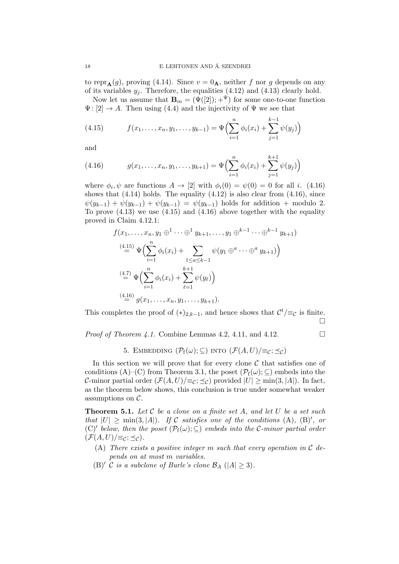to repr $_{\mathbf{A}}(g)$ , proving (4.14). Since  $v = 0$ <sub>A</sub>, neither f nor g depends on any of its variables  $y_j$ . Therefore, the equalities (4.12) and (4.13) clearly hold.

Now let us assume that  $\mathbf{B}_m = (\Psi([2]); +^{\Psi})$  for some one-to-one function  $\Psi: [2] \to A$ . Then using (4.4) and the injectivity of  $\Psi$  we see that

(4.15) 
$$
f(x_1,...,x_n,y_1,...,y_{k-1}) = \Psi\left(\sum_{i=1}^n \phi_i(x_i) + \sum_{j=1}^{k-1} \psi(y_j)\right)
$$

and

(4.16) 
$$
g(x_1,\ldots,x_n,y_1,\ldots,y_{k+1}) = \Psi\Bigl(\sum_{i=1}^n \phi_i(x_i) + \sum_{j=1}^{k+1} \psi(y_j)\Bigr)
$$

where  $\phi_i, \psi$  are functions  $A \to [2]$  with  $\phi_i(0) = \psi(0) = 0$  for all *i*. (4.16) shows that  $(4.14)$  holds. The equality  $(4.12)$  is also clear from  $(4.16)$ , since  $\psi(y_{k-1}) + \psi(y_{k-1}) + \psi(y_{k-1}) = \psi(y_{k-1})$  holds for addition + modulo 2. To prove  $(4.13)$  we use  $(4.15)$  and  $(4.16)$  above together with the equality proved in Claim 4.12.1:

$$
f(x_1, ..., x_n, y_1 \oplus^1 \cdots \oplus^1 y_{k+1}, ..., y_1 \oplus^{k-1} \cdots \oplus^{k-1} y_{k+1})
$$
  
\n
$$
\stackrel{(4.15)}{=} \Psi \Big( \sum_{i=1}^n \phi_i(x_i) + \sum_{1 \le a \le k-1} \psi(y_1 \oplus^a \cdots \oplus^a y_{k+1}) \Big)
$$
  
\n
$$
\stackrel{(4.7)}{=} \Psi \Big( \sum_{i=1}^n \phi_i(x_i) + \sum_{\ell=1}^{k+1} \psi(y_\ell) \Big)
$$
  
\n
$$
\stackrel{(4.16)}{=} g(x_1, ..., x_n, y_1, ..., y_{k+1}).
$$

This completes the proof of  $(*)_{2,k-1}$ , and hence shows that  $\mathcal{C}^t/\equiv_{\mathcal{C}}$  is finite.  $\Box$ 

*Proof of Theorem 4.1.* Combine Lemmas 4.2, 4.11, and 4.12.

# 5. EMBEDDING  $(\mathcal{P}_f(\omega); \subseteq)$  into  $(\mathcal{F}(A, U)|\equiv_c; \prec_c)$

In this section we will prove that for every clone  $\mathcal C$  that satisfies one of conditions (A)–(C) from Theorem 3.1, the poset  $(\mathcal{P}_f(\omega); \subseteq)$  embeds into the C-minor partial order  $(\mathcal{F}(A, U)|\equiv_{\mathcal{C}}; \preceq_{\mathcal{C}})$  provided  $|U| \ge \min(3, |A|)$ . In fact, as the theorem below shows, this conclusion is true under somewhat weaker assumptions on  $\mathcal{C}.$ 

**Theorem 5.1.** Let C be a clone on a finite set A, and let U be a set such that  $|U| \ge \min(3, |A|)$ . If C satisfies one of the conditions (A), (B)', or (C)<sup> $\prime$ </sup> below, then the poset  $(\mathcal{P}_f(\omega);\subseteq)$  embeds into the C-minor partial order  $(\mathcal{F}(A, U) / \equiv_{\mathcal{C}}; \preceq_{\mathcal{C}}).$ 

- (A) There exists a positive integer m such that every operation in  $\mathcal C$  depends on at most m variables.
- (B)' C is a subclone of Burle's clone  $\mathcal{B}_A$  ( $|A| \geq 3$ ).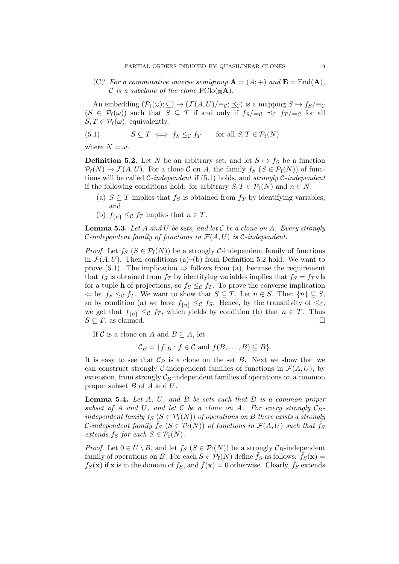(C)<sup> $\prime$ </sup> For a commutative inverse semigroup  $\mathbf{A} = (A; +)$  and  $\mathbf{E} = \text{End}(\mathbf{A}),$ C is a subclone of the clone  $\text{PClo}(\mathbf{E}\mathbf{A})$ .

An embedding  $(\mathcal{P}_f(\omega); \subseteq) \to (\mathcal{F}(A, U)/\equiv_c; \preceq_c)$  is a mapping  $S \mapsto f_S/\equiv_c$  $(S \in \mathcal{P}_{f}(\omega))$  such that  $S \subseteq T$  if and only if  $f_S/\equiv_c \preceq_c f_T/\equiv_c$  for all  $S, T \in \mathcal{P}_{f}(\omega)$ ; equivalently,

(5.1) 
$$
S \subseteq T \iff f_S \leq_{\mathcal{C}} f_T \quad \text{for all } S, T \in \mathcal{P}_f(N)
$$

where  $N = \omega$ .

**Definition 5.2.** Let N be an arbitrary set, and let  $S \mapsto f_S$  be a function  $\mathcal{P}_{f}(N) \to \mathcal{F}(A, U)$ . For a clone C on A, the family  $f_S$   $(S \in \mathcal{P}_{f}(N))$  of functions will be called *C*-independent if  $(5.1)$  holds, and *strongly C*-independent if the following conditions hold: for arbitrary  $S, T \in \mathcal{P}_{f}(N)$  and  $n \in N$ ,

- (a)  $S \subseteq T$  implies that  $f_S$  is obtained from  $f_T$  by identifying variables, and
- (b)  $f_{\{n\}} \leq_{\mathcal{C}} f_T$  implies that  $n \in T$ .

**Lemma 5.3.** Let A and U be sets, and let C be a clone on A. Every strongly *C*-independent family of functions in  $\mathcal{F}(A, U)$  is *C*-independent.

*Proof.* Let  $f_S$  ( $S \in \mathcal{P}_f(N)$ ) be a strongly *C*-independent family of functions in  $\mathcal{F}(A, U)$ . Then conditions (a)–(b) from Definition 5.2 hold. We want to prove (5.1). The implication  $\Rightarrow$  follows from (a), because the requirement that fs is obtained from  $f_T$  by identifying variables implies that  $f_S = f_T \circ h$ for a tuple **h** of projections, so  $f_S \leq_c f_T$ . To prove the converse implication  $\Leftarrow$  let  $f_S \leq_{\mathcal{C}} f_T$ . We want to show that  $S \subseteq T$ . Let  $n \in S$ . Then  $\{n\} \subseteq S$ , so by condition (a) we have  $f_{\{n\}} \leq_{\mathcal{C}} f_S$ . Hence, by the transitivity of  $\leq_{\mathcal{C}} f$ , we get that  $f_{\{n\}} \leq_{\mathcal{C}} f_T$ , which yields by condition (b) that  $n \in T$ . Thus  $S \subseteq T$ , as claimed.

If C is a clone on A and  $B \subseteq A$ , let

 $\mathcal{C}_B = \{f|_B : f \in \mathcal{C} \text{ and } f(B, \ldots, B) \subseteq B\}.$ 

It is easy to see that  $\mathcal{C}_B$  is a clone on the set  $B$ . Next we show that we can construct strongly C-independent families of functions in  $\mathcal{F}(A, U)$ , by extension, from strongly  $\mathcal{C}_B$ -independent families of operations on a common proper subset  $B$  of  $A$  and  $U$ .

**Lemma 5.4.** Let  $A$ ,  $U$ , and  $B$  be sets such that  $B$  is a common proper subset of A and U, and let C be a clone on A. For every strongly  $C_B$ . independent family  $f_S$  ( $S \in \mathcal{P}_f(N)$ ) of operations on B there exists a strongly C-independent family  $\bar{f}_S$  ( $S \in \mathcal{P}_f(N)$ ) of functions in  $\mathcal{F}(A, U)$  such that  $\bar{f}_S$ extends  $f_S$  for each  $S \in \mathcal{P}_f(N)$ .

*Proof.* Let  $0 \in U \setminus B$ , and let  $f_S$   $(S \in \mathcal{P}_f(N))$  be a strongly  $\mathcal{C}_B$ -independent family of operations on B. For each  $S \in \mathcal{P}_{f}(N)$  define  $f_{S}$  as follows:  $f_{S}(\mathbf{x}) =$  $f_S(\mathbf{x})$  if **x** is in the domain of  $f_S$ , and  $\bar{f}(\mathbf{x}) = 0$  otherwise. Clearly,  $\bar{f}_S$  extends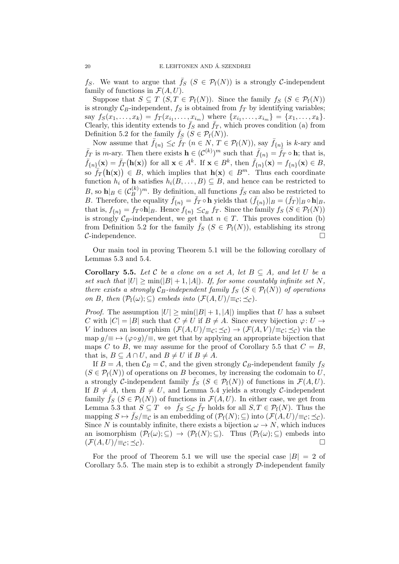$f_S$ . We want to argue that  $f_S$   $(S \in \mathcal{P}_f(N))$  is a strongly C-independent family of functions in  $\mathcal{F}(A, U)$ .

Suppose that  $S \subseteq T$   $(S, T \in \mathcal{P}_f(N))$ . Since the family  $f_S$   $(S \in \mathcal{P}_f(N))$ is strongly  $C_B$ -independent,  $f_S$  is obtained from  $f_T$  by identifying variables; say  $f_S(x_1, \ldots, x_k) = f_T(x_{i_1}, \ldots, x_{i_m})$  where  $\{x_{i_1}, \ldots, x_{i_m}\} = \{x_1, \ldots, x_k\}.$ Clearly, this identity extends to  $\bar{f}_S$  and  $\bar{f}_T$ , which proves condition (a) from Definition 5.2 for the family  $f_S$  ( $S \in \mathcal{P}_f(N)$ ).

Now assume that  $\bar{f}_{\{n\}} \leq_{\mathcal{C}} \tilde{f}_{T}$   $(n \in N, T \in \mathcal{P}_{f}(N)),$  say  $\bar{f}_{\{n\}}$  is k-ary and  $\bar{f}_T$  is *m*-ary. Then there exists  $\mathbf{h} \in (\mathcal{C}^{(k)})^m$  such that  $\bar{f}_{\{n\}} = \bar{f}_T \circ \mathbf{h}$ ; that is,  $\bar{f}_{\{n\}}(\mathbf{x}) = \bar{f}_{T}(\mathbf{h}(\mathbf{x}))$  for all  $\mathbf{x} \in A^{k}$ . If  $\mathbf{x} \in B^{k}$ , then  $\bar{f}_{\{n\}}(\mathbf{x}) = f_{\{n\}}(\mathbf{x}) \in B$ , so  $\overline{f}_{T}(\mathbf{h}(\mathbf{x})) \in B$ , which implies that  $\mathbf{h}(\mathbf{x}) \in B^m$ . Thus each coordinate function  $h_i$  of h satisfies  $h_i(B, \ldots, B) \subseteq B$ , and hence can be restricted to B, so  $\mathbf{h}|_B \in (\mathcal{C}_B^{(k)}$  $(\frac{B}{B})^m$ . By definition, all functions  $\bar{f}_S$  can also be restricted to B. Therefore, the equality  $\bar{f}_{\{n\}} = \bar{f}_T \circ \mathbf{h}$  yields that  $(\bar{f}_{\{n\}})|_B = (\bar{f}_T)|_B \circ \mathbf{h}|_B$ , that is,  $f_{\{n\}} = f_T \circ \mathbf{h}|_B$ . Hence  $f_{\{n\}} \leq_{\mathcal{C}_B} f_T$ . Since the family  $f_S(S \in \mathcal{P}_f(N))$ is strongly  $\mathcal{C}_B$ -independent, we get that  $n \in T$ . This proves condition (b) from Definition 5.2 for the family  $f_S$  ( $S \in \mathcal{P}_f(N)$ ), establishing its strong  $\mathcal{C}\text{-independence.}$ 

Our main tool in proving Theorem 5.1 will be the following corollary of Lemmas 5.3 and 5.4.

**Corollary 5.5.** Let C be a clone on a set A, let  $B \subseteq A$ , and let U be a set such that  $|U| \ge \min(|B|+1, |A|)$ . If, for some countably infinite set N, there exists a strongly  $C_B$ -independent family  $f_S$  ( $S \in \mathcal{P}_f(N)$ ) of operations on B, then  $(\mathcal{P}_{f}(\omega);\subseteq)$  embeds into  $(\mathcal{F}(A,U))\equiv_c;\preceq_c)$ .

*Proof.* The assumption  $|U| \ge \min(|B|+1, |A|)$  implies that U has a subset C with  $|C| = |B|$  such that  $C \neq U$  if  $B \neq A$ . Since every bijection  $\varphi: U \rightarrow$ V induces an isomorphism  $(\mathcal{F}(A, U)/\equiv_{\mathcal{C}}; \preceq_{\mathcal{C}}) \to (\mathcal{F}(A, V)/\equiv_{\mathcal{C}}; \preceq_{\mathcal{C}})$  via the map  $g/\equiv \rightarrow (\varphi \circ g)/\equiv$ , we get that by applying an appropriate bijection that maps C to B, we may assume for the proof of Corollary 5.5 that  $C = B$ , that is,  $B \subseteq A \cap U$ , and  $B \neq U$  if  $B \neq A$ .

If  $B = A$ , then  $C_B = C$ , and the given strongly  $C_B$ -independent family fs  $(S \in \mathcal{P}_{f}(N))$  of operations on B becomes, by increasing the codomain to U, a strongly C-independent family  $f_S$  ( $S \in \mathcal{P}_f(N)$ ) of functions in  $\mathcal{F}(A, U)$ . If  $B \neq A$ , then  $B \neq U$ , and Lemma 5.4 yields a strongly C-independent family  $\bar{f}_S$  ( $S \in \mathcal{P}_f(N)$ ) of functions in  $\mathcal{F}(A, U)$ . In either case, we get from Lemma 5.3 that  $S \subseteq T \iff \bar{f}_S \leq_{\mathcal{C}} \bar{f}_T$  holds for all  $S, T \in \mathcal{P}_f(N)$ . Thus the mapping  $S \mapsto \bar{f}_S/\equiv_C$  is an embedding of  $(\mathcal{P}_f(N);\subseteq)$  into  $(\mathcal{F}(A,U)/\equiv_C;\preceq_C)$ . Since N is countably infinite, there exists a bijection  $\omega \to N$ , which induces an isomorphism  $(\mathcal{P}_f(\omega); \subseteq) \to (\mathcal{P}_f(N); \subseteq)$ . Thus  $(\mathcal{P}_f(\omega); \subseteq)$  embeds into  $(\mathcal{F}(A, U))\equiv_{\mathcal{C}}; \preceq_{\mathcal{C}}$ .

For the proof of Theorem 5.1 we will use the special case  $|B| = 2$  of Corollary 5.5. The main step is to exhibit a strongly  $\mathcal{D}\text{-independent family}$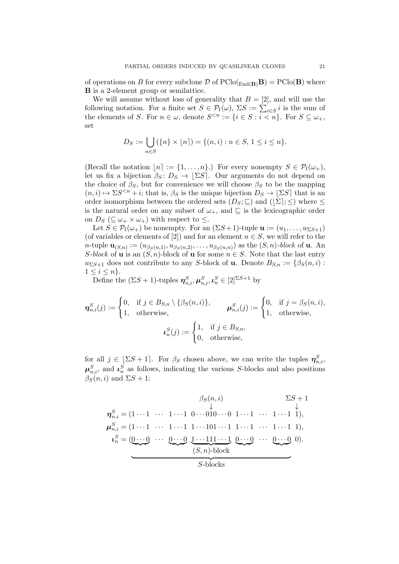of operations on B for every subclone  $\mathcal D$  of  $\text{PClo}(\underline{\text{End}}_{\mathbf{B}})\mathbf{B}) = \text{PClo}(\mathbf{B})$  where B is a 2-element group or semilattice.

We will assume without loss of generality that  $B = [2]$ , and will use the following notation. For a finite set  $S \in \mathcal{P}_{f}(\omega)$ ,  $\Sigma S := \sum_{i \in S} i$  is the sum of the elements of S. For  $n \in \omega$ , denote  $S^{\leq n} := \{i \in S : i \leq n\}$ . For  $S \subseteq \omega_+$ , set

$$
D_S := \bigcup_{n \in S} (\{n\} \times [n]) = \{(n, i) : n \in S, 1 \le i \le n\}.
$$

(Recall the notation  $[n] := \{1, \ldots, n\}$ .) For every nonempty  $S \in \mathcal{P}_{f}(\omega_{+}),$ let us fix a bijection  $\beta_S : D_S \to \lfloor \Sigma S \rfloor$ . Our arguments do not depend on the choice of  $\beta_S$ , but for convenience we will choose  $\beta_S$  to be the mapping  $(n, i) \mapsto \Sigma S^{\leq n} + i$ ; that is,  $\beta_S$  is the unique bijection  $D_S \to \Sigma S$  that is an order isomorphism between the ordered sets  $(D_S; \sqsubseteq)$  and  $(|\Sigma|; \leq)$  where  $\leq$ is the natural order on any subset of  $\omega_{+}$ , and  $\subseteq$  is the lexicographic order on  $D_S$  ( $\subseteq \omega_+ \times \omega_+$ ) with respect to  $\leq$ .

Let  $S \in \mathcal{P}_{f}(\omega_{+})$  be nonempty. For an  $(\Sigma S + 1)$ -tuple  $\mathbf{u} := (u_1, \ldots, u_{\Sigma S + 1})$ (of variables or elements of [2]) and for an element  $n \in S$ , we will refer to the *n*-tuple  $\mathbf{u}_{(S,n)} := (u_{\beta_S(n,1)}, u_{\beta_S(n,2)}, \dots, u_{\beta_S(n,n)})$  as the  $(S, n)$ -block of **u**. An S-block of **u** is an  $(S, n)$ -block of **u** for some  $n \in S$ . Note that the last entry  $u_{\Sigma S+1}$  does not contribute to any S-block of **u**. Denote  $B_{S,n} := \{\beta_S(n,i):$  $1 \leq i \leq n$ .

Define the  $(\Sigma S + 1)$ -tuples  $\boldsymbol{\eta}_{n,i}^S, \boldsymbol{\mu}_{n,i}^S, \boldsymbol{\iota}_n^S \in [2]^{\Sigma S + 1}$  by

$$
\eta_{n,i}^{S}(j) := \begin{cases} 0, & \text{if } j \in B_{S,n} \setminus \{\beta_{S}(n,i)\}, \\ 1, & \text{otherwise}, \end{cases} \qquad \mu_{n,i}^{S}(j) := \begin{cases} 0, & \text{if } j = \beta_{S}(n,i), \\ 1, & \text{otherwise}, \end{cases}
$$

$$
\iota_{n}^{S}(j) := \begin{cases} 1, & \text{if } j \in B_{S,n}, \\ 0, & \text{otherwise}, \end{cases}
$$

for all  $j \in \lfloor \Sigma S + 1 \rfloor$ . For  $\beta_S$  chosen above, we can write the tuples  $\eta_{n,i}^S$ ,  $\boldsymbol{\mu}_{n,i}^S$ , and  $\boldsymbol{\iota}_n^S$  as follows, indicating the various S-blocks and also positions  $\beta_S(n, i)$  and  $\Sigma S + 1$ :

η S n,i = (1 · · · 1 · · · 1 · · · 1 0 · · · 0 βS(n, i) ↓ 10 · · · 0 1 · · · 1 · · · 1 · · · 1 ΣS + 1 ↓ 1), µ S n,i = (1 · · · 1 · · · 1 · · · 1 1 · · · 101 · · · 1 1 · · · 1 · · · 1 · · · 1 1), ι S <sup>n</sup> = (0 · · · 0 | {z } · · · 0 · · · 0 | {z } 1 · · · 111 · · · 1 | {z } (S, n)-block 0 · · · 0 | {z } · · · 0 · · · 0 | {z } | {z } S-blocks 0).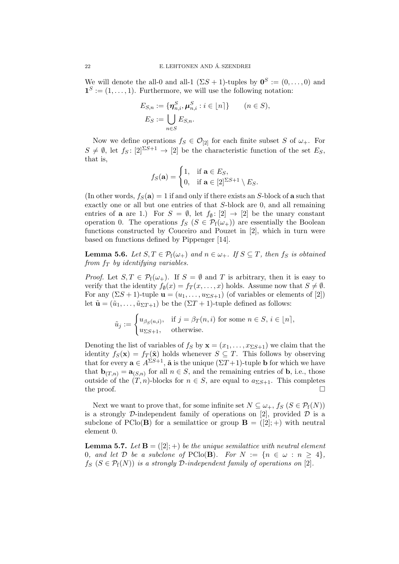We will denote the all-0 and all-1  $(\Sigma S + 1)$ -tuples by  $\mathbf{0}^{S} := (0, \ldots, 0)$  and  $\mathbf{1}^{S} := (1, \ldots, 1)$ . Furthermore, we will use the following notation:

$$
E_{S,n} := \{ \boldsymbol{\eta}_{n,i}^S, \boldsymbol{\mu}_{n,i}^S : i \in [n] \} \qquad (n \in S),
$$
  

$$
E_S := \bigcup_{n \in S} E_{S,n}.
$$

Now we define operations  $f_S \in \mathcal{O}_{[2]}$  for each finite subset S of  $\omega_+$ . For  $S \neq \emptyset$ , let  $f_S : [2]^{S+1} \rightarrow [2]$  be the characteristic function of the set  $E_S$ , that is,

$$
f_S(\mathbf{a}) = \begin{cases} 1, & \text{if } \mathbf{a} \in E_S, \\ 0, & \text{if } \mathbf{a} \in [2]^{\Sigma S + 1} \setminus E_S. \end{cases}
$$

(In other words,  $f_S(\mathbf{a}) = 1$  if and only if there exists an S-block of **a** such that exactly one or all but one entries of that S-block are 0, and all remaining entries of **a** are 1.) For  $S = \emptyset$ , let  $f_{\emptyset} : [2] \rightarrow [2]$  be the unary constant operation 0. The operations  $f_S$  ( $S \in \mathcal{P}_f(\omega_+)$ ) are essentially the Boolean functions constructed by Couceiro and Pouzet in [2], which in turn were based on functions defined by Pippenger [14].

**Lemma 5.6.** Let  $S, T \in \mathcal{P}_{f}(\omega_{+})$  and  $n \in \omega_{+}$ . If  $S \subseteq T$ , then  $f_{S}$  is obtained from  $f_T$  by identifying variables.

*Proof.* Let  $S, T \in \mathcal{P}_{f}(\omega_{+})$ . If  $S = \emptyset$  and T is arbitrary, then it is easy to verify that the identity  $f_{\emptyset}(x) = f_T(x, \ldots, x)$  holds. Assume now that  $S \neq \emptyset$ . For any  $(\Sigma S + 1)$ -tuple  $\mathbf{u} = (u_1, \ldots, u_{\Sigma S + 1})$  (of variables or elements of [2]) let  $\tilde{\mathbf{u}} = (\tilde{u}_1, \ldots, \tilde{u}_{\Sigma T+1})$  be the  $(\Sigma T + 1)$ -tuple defined as follows:

$$
\tilde{u}_j := \begin{cases} u_{\beta_S(n,i)}, & \text{if } j = \beta_T(n,i) \text{ for some } n \in S, i \in [n], \\ u_{\Sigma S + 1}, & \text{otherwise.} \end{cases}
$$

Denoting the list of variables of  $f_S$  by  $\mathbf{x} = (x_1, \dots, x_{\Sigma S+1})$  we claim that the identity  $f_S(\mathbf{x}) = f_T(\tilde{\mathbf{x}})$  holds whenever  $S \subseteq T$ . This follows by observing that for every  $\mathbf{a} \in A^{\Sigma S+1}$ ,  $\tilde{\mathbf{a}}$  is the unique  $(\Sigma T+1)$ -tuple **b** for which we have that  $\mathbf{b}_{(T,n)} = \mathbf{a}_{(S,n)}$  for all  $n \in S$ , and the remaining entries of **b**, i.e., those outside of the  $(T, n)$ -blocks for  $n \in S$ , are equal to  $a_{\Sigma S+1}$ . This completes the proof.  $\Box$ 

Next we want to prove that, for some infinite set  $N \subseteq \omega_+$ ,  $f_S$   $(S \in \mathcal{P}_f(N))$ is a strongly D-independent family of operations on [2], provided  $D$  is a subclone of PClo(**B**) for a semilattice or group  $\mathbf{B} = ([2]; +)$  with neutral element 0.

**Lemma 5.7.** Let  $\mathbf{B} = (\lbrack 2 \rbrack; \cdot)$  be the unique semilattice with neutral element 0, and let  $D$  be a subclone of PClo(B). For  $N := \{n \in \omega : n \geq 4\},\$  $f_S$   $(S \in \mathcal{P}_f(N))$  is a strongly  $\mathcal{D}\text{-}independent family of operations on [2].$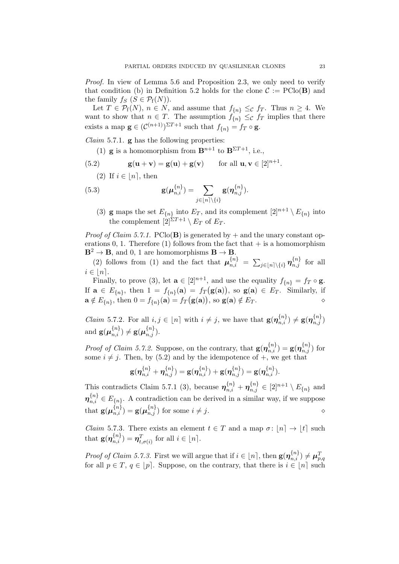Proof. In view of Lemma 5.6 and Proposition 2.3, we only need to verify that condition (b) in Definition 5.2 holds for the clone  $\mathcal{C} := \text{PClo}(\mathbf{B})$  and the family  $f_S$   $(S \in \mathcal{P}_f(N))$ .

Let  $T \in \mathcal{P}_{f}(N), n \in N$ , and assume that  $f_{\{n\}} \leq_{\mathcal{C}} f_T$ . Thus  $n \geq 4$ . We want to show that  $n \in T$ . The assumption  $f_{\{n\}} \leq_{\mathcal{C}} f_T$  implies that there exists a map  $\mathbf{g} \in (\mathcal{C}^{(n+1)})^{\Sigma T+1}$  such that  $f_{\{n\}} = f_T \circ \mathbf{g}$ .

*Claim* 5.7.1.  $\bf{g}$  has the following properties:

- (1) **g** is a homomorphism from  $\mathbf{B}^{n+1}$  to  $\mathbf{B}^{\Sigma T+1}$ , i.e.,
- (5.2)  $\mathbf{g}(\mathbf{u} + \mathbf{v}) = \mathbf{g}(\mathbf{u}) + \mathbf{g}(\mathbf{v})$  for all  $\mathbf{u}, \mathbf{v} \in [2]^{n+1}$ . (2) If  $i \in [n]$ , then

(5.3) 
$$
\mathbf{g}(\boldsymbol{\mu}_{n,i}^{\{n\}}) = \sum_{j \in [n] \setminus \{i\}} \mathbf{g}(\boldsymbol{\eta}_{n,j}^{\{n\}}).
$$

(3) **g** maps the set  $E_{\{n\}}$  into  $E_T$ , and its complement  $[2]^{n+1} \setminus E_{\{n\}}$  into the complement  $\left[2\right]^{\Sigma T+1} \setminus E_T$  of  $E_T$ .

*Proof of Claim 5.7.1.* PClo(**B**) is generated by  $+$  and the unary constant operations 0, 1. Therefore (1) follows from the fact that  $+$  is a homomorphism  $\mathbf{B}^2 \to \mathbf{B}$ , and 0, 1 are homomorphisms  $\mathbf{B} \to \mathbf{B}$ .

(2) follows from (1) and the fact that  $\mu_{n,i}^{\{n\}} = \sum_{j\in[n]\setminus\{i\}} \eta_{n,j}^{\{n\}}$  for all  $i \in [n]$ .

Finally, to prove (3), let  $\mathbf{a} \in [2]^{n+1}$ , and use the equality  $f_{\{n\}} = f_T \circ \mathbf{g}$ . If  $\mathbf{a} \in E_{\{n\}}$ , then  $1 = f_{\{n\}}(\mathbf{a}) = f_T(\mathbf{g}(\mathbf{a}))$ , so  $\mathbf{g}(\mathbf{a}) \in E_T$ . Similarly, if  $\mathbf{a} \notin E_{\{n\}}$ , then  $0 = f_{\{n\}}(\mathbf{a}) = f_T(\mathbf{g}(\mathbf{a}))$ , so  $\mathbf{g}(\mathbf{a}) \notin E_T$ .

*Claim* 5.7.2. For all  $i, j \in [n]$  with  $i \neq j$ , we have that  $\mathbf{g}(\boldsymbol{\eta}_{n,i}^{\{n\}}) \neq \mathbf{g}(\boldsymbol{\eta}_{n,j}^{\{n\}})$ and  $\mathbf{g}(\boldsymbol{\mu}_{n,i}^{\{n\}}) \neq \mathbf{g}(\boldsymbol{\mu}_{n,j}^{\{n\}}).$ 

*Proof of Claim 5.7.2.* Suppose, on the contrary, that  $\mathbf{g}(\eta_{n,i}^{\{n\}}) = \mathbf{g}(\eta_{n,j}^{\{n\}})$  for some  $i \neq j$ . Then, by (5.2) and by the idempotence of  $+$ , we get that

$$
\mathbf{g}(\boldsymbol{\eta}_{n,i}^{\{n\}} + \boldsymbol{\eta}_{n,j}^{\{n\}}) = \mathbf{g}(\boldsymbol{\eta}_{n,i}^{\{n\}}) + \mathbf{g}(\boldsymbol{\eta}_{n,j}^{\{n\}}) = \mathbf{g}(\boldsymbol{\eta}_{n,i}^{\{n\}}).
$$

This contradicts Claim 5.7.1 (3), because  $\boldsymbol{\eta}_{n,i}^{\{n\}} + \boldsymbol{\eta}_{n,j}^{\{n\}} \in [2]^{n+1} \setminus E_{\{n\}}$  and  $\boldsymbol{\eta}_{n,i}^{\{n\}} \in E_{\{n\}}$ . A contradiction can be derived in a similar way, if we suppose that  $\mathbf{g}(\boldsymbol{\mu}_{n,i}^{\{n\}}) = \mathbf{g}(\boldsymbol{\mu}_{n,j}^{\{n\}})$  for some  $i \neq j$ .

*Claim* 5.7.3. There exists an element  $t \in T$  and a map  $\sigma : [n] \to [t]$  such that  $\mathbf{g}(\boldsymbol{\eta}_{n,i}^{\{n\}}) = \boldsymbol{\eta}_{t,\sigma(i)}^T$  for all  $i \in [n]$ .

Proof of Claim 5.7.3. First we will argue that if  $i \in [n]$ , then  $g(\eta_{n,i}^{\{n\}}) \neq \mu_{p,q}^T$ for all  $p \in T$ ,  $q \in [p]$ . Suppose, on the contrary, that there is  $i \in [n]$  such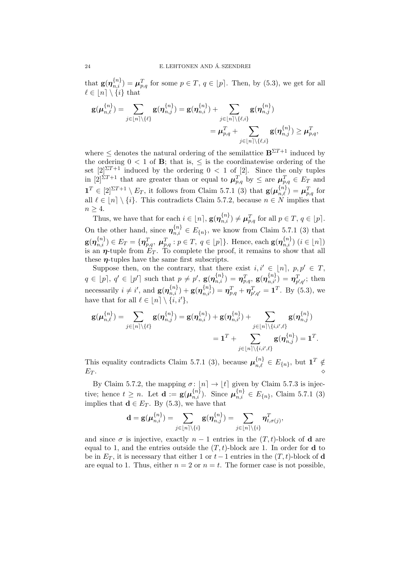that  $\mathbf{g}(\boldsymbol{\eta}_{n,i}^{\{n\}}) = \boldsymbol{\mu}_{p,q}^T$  for some  $p \in T$ ,  $q \in [p]$ . Then, by (5.3), we get for all  $\ell \in [n] \setminus \{i\}$  that

$$
\mathbf{g}(\boldsymbol{\mu}_{n,\ell}^{\{n\}}) = \sum_{j \in [n] \setminus \{\ell\}} \mathbf{g}(\boldsymbol{\eta}_{n,j}^{\{n\}}) = \mathbf{g}(\boldsymbol{\eta}_{n,i}^{\{n\}}) + \sum_{j \in [n] \setminus \{\ell,i\}} \mathbf{g}(\boldsymbol{\eta}_{n,j}^{\{n\}}) \n= \boldsymbol{\mu}_{p,q}^T + \sum_{j \in [n] \setminus \{\ell,i\}} \mathbf{g}(\boldsymbol{\eta}_{n,j}^{\{n\}}) \geq \boldsymbol{\mu}_{p,q}^T,
$$

where  $\leq$  denotes the natural ordering of the semilattice  $\mathbf{B}^{\Sigma T+1}$  induced by the ordering  $0 < 1$  of **B**; that is,  $\leq$  is the coordinatewise ordering of the set  $[2]^{\Sigma T+1}$  induced by the ordering  $0 < 1$  of [2]. Since the only tuples in  $[2]^{ST+1}$  that are greater than or equal to  $\mu_{p,q}^T$  by  $\leq$  are  $\mu_{p,q}^T \in E_T$  and  $\mathbf{1}^T \in [2]^{\Sigma T+1} \setminus E_T$ , it follows from Claim 5.7.1 (3) that  $\mathbf{g}(\boldsymbol{\mu}_{n,\ell}^{\{n\}}) = \boldsymbol{\mu}_{p,q}^T$  for all  $\ell \in [n] \setminus \{i\}.$  This contradicts Claim 5.7.2, because  $n \in N$  implies that  $n \geq 4$ .

Thus, we have that for each  $i \in [n]$ ,  $\mathbf{g}(\boldsymbol{\eta}_{n,i}^{\{n\}}) \neq \boldsymbol{\mu}_{p,q}^T$  for all  $p \in T$ ,  $q \in [p]$ . On the other hand, since  $\boldsymbol{\eta}_{n,i}^{\{n\}} \in E_{\{n\}}$ , we know from Claim 5.7.1 (3) that  $g(\eta_{n,i}^{\{n\}}) \in E_T = \{\eta_{p,q}^T, \ \mu_{p,q}^T : p \in T, \ q \in [p]\}.$  Hence, each  $g(\eta_{n,i}^{\{n\}})$   $(i \in [n])$ is an  $\eta$ -tuple from  $E_T$ . To complete the proof, it remains to show that all these  $\eta$ -tuples have the same first subscripts.

Suppose then, on the contrary, that there exist  $i, i' \in [n]$ ,  $p, p' \in T$ ,  $q \in [p], q' \in [p']$  such that  $p \neq p'$ ,  $\mathbf{g}(\boldsymbol{\eta}_{n,i}^{\{n\}}) = \boldsymbol{\eta}_{p,q}^T$ ,  $\mathbf{g}(\boldsymbol{\eta}_{n,i'}^{\{n\}}) = \boldsymbol{\eta}_{p',q'}^T$ ; then necessarily  $i \neq i'$ , and  $\mathbf{g}(\boldsymbol{\eta}_{n,i}^{\{n\}}) + \mathbf{g}(\boldsymbol{\eta}_{n,i'}^{\{n\}}) = \boldsymbol{\eta}_{p,q}^T + \boldsymbol{\eta}_{p',q'}^T = \mathbf{1}^T$ . By (5.3), we have that for all  $\ell \in [n] \setminus \{i, i'\},\$ 

$$
\mathbf{g}(\boldsymbol{\mu}_{n,\ell}^{\{n\}}) = \sum_{j \in [n] \setminus \{\ell\}} \mathbf{g}(\boldsymbol{\eta}_{n,j}^{\{n\}}) = \mathbf{g}(\boldsymbol{\eta}_{n,i}^{\{n\}}) + \mathbf{g}(\boldsymbol{\eta}_{n,i'}^{\{n\}}) + \sum_{j \in [n] \setminus \{i,i',\ell\}} \mathbf{g}(\boldsymbol{\eta}_{n,j}^{\{n\}}) \\ = \mathbf{1}^T + \sum_{j \in [n] \setminus \{i,i',\ell\}} \mathbf{g}(\boldsymbol{\eta}_{n,j}^{\{n\}}) = \mathbf{1}^T.
$$

This equality contradicts Claim 5.7.1 (3), because  $\mu_{n,\ell}^{\{n\}} \in E_{\{n\}}$ , but  $\mathbf{1}^T \notin$  $E_T$ .

By Claim 5.7.2, the mapping  $\sigma: [n] \to [t]$  given by Claim 5.7.3 is injective; hence  $t \ge n$ . Let  $\mathbf{d} := \mathbf{g}(\boldsymbol{\mu}_{n,i}^{\{n\}})$ . Since  $\boldsymbol{\mu}_{n,i}^{\{n\}} \in E_{\{n\}}$ , Claim 5.7.1 (3) implies that  $\mathbf{d} \in E_T$ . By (5.3), we have that

$$
\mathbf{d}=\mathbf{g}(\boldsymbol{\mu}_{n,i}^{\{n\}})=\sum_{j\in \lfloor n\rceil \setminus \{i\}} \mathbf{g}(\boldsymbol{\eta}_{n,j}^{\{n\}})=\sum_{j\in \lfloor n\rceil \setminus \{i\}} \boldsymbol{\eta}_{t,\sigma(j)}^T,
$$

and since  $\sigma$  is injective, exactly  $n-1$  entries in the  $(T, t)$ -block of **d** are equal to 1, and the entries outside the  $(T, t)$ -block are 1. In order for **d** to be in  $E_T$ , it is necessary that either 1 or  $t-1$  entries in the  $(T, t)$ -block of d are equal to 1. Thus, either  $n = 2$  or  $n = t$ . The former case is not possible,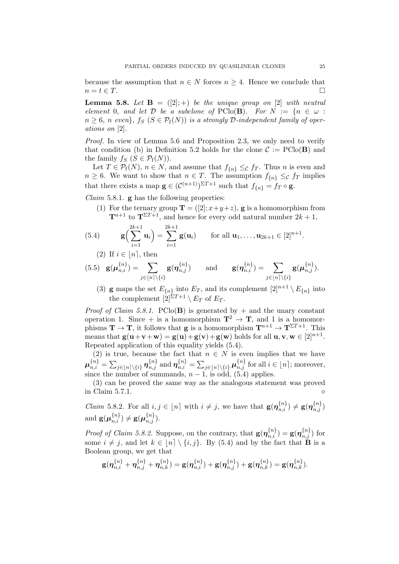because the assumption that  $n \in N$  forces  $n \geq 4$ . Hence we conclude that  $n = t \in T$ .

**Lemma 5.8.** Let  $\mathbf{B} = ([2]; +)$  be the unique group on [2] with neutral element 0, and let  $D$  be a subclone of PClo(B). For  $N := \{n \in \omega :$  $n \geq 6$ , n even},  $f_S$   $(S \in \mathcal{P}_f(N))$  is a strongly D-independent family of operations on [2].

Proof. In view of Lemma 5.6 and Proposition 2.3, we only need to verify that condition (b) in Definition 5.2 holds for the clone  $C := \text{PClo}(\mathbf{B})$  and the family  $f_S$   $(S \in \mathcal{P}_f(N))$ .

Let  $T \in \mathcal{P}_{f}(N), n \in N$ , and assume that  $f_{\{n\}} \leq_{\mathcal{C}} f_T$ . Thus n is even and  $n \geq 6$ . We want to show that  $n \in T$ . The assumption  $f_{\{n\}} \leq_{\mathcal{C}} f_T$  implies that there exists a map  $\mathbf{g} \in (\mathcal{C}^{(n+1)})^{\Sigma T+1}$  such that  $f_{\{n\}} = f_T \circ \mathbf{g}$ .

*Claim* 5.8.1.  $\bf{g}$  has the following properties:

(1) For the ternary group  $\mathbf{T} = ([2]; x+y+z)$ , **g** is a homomorphism from  $\mathbf{T}^{n+1}$  to  $\mathbf{T}^{\Sigma T+1}$ , and hence for every odd natural number  $2k+1$ ,

(5.4) 
$$
\mathbf{g}\left(\sum_{i=1}^{2k+1}\mathbf{u}_i\right)=\sum_{i=1}^{2k+1}\mathbf{g}(\mathbf{u}_i) \quad \text{for all } \mathbf{u}_1,\ldots,\mathbf{u}_{2k+1}\in[2]^{n+1}.
$$

(2) If  $i \in [n]$ , then

(5.5) 
$$
\mathbf{g}(\boldsymbol{\mu}_{n,i}^{\{n\}}) = \sum_{j \in [n] \setminus \{i\}} \mathbf{g}(\boldsymbol{\eta}_{n,j}^{\{n\}}) \quad \text{and} \quad \mathbf{g}(\boldsymbol{\eta}_{n,i}^{\{n\}}) = \sum_{j \in [n] \setminus \{i\}} \mathbf{g}(\boldsymbol{\mu}_{n,j}^{\{n\}}).
$$

(3) **g** maps the set  $E_{\{n\}}$  into  $E_T$ , and its complement  $[2]^{n+1} \setminus E_{\{n\}}$  into the complement  $[2]^{\Sigma T+1} \setminus E_T$  of  $E_T$ .

*Proof of Claim 5.8.1.* PClo(**B**) is generated by  $+$  and the unary constant operation 1. Since + is a homomorphism  $\mathbf{T}^2 \to \mathbf{T}$ , and 1 is a homomorphisms  $\mathbf{T} \to \mathbf{T}$ , it follows that **g** is a homomorphism  $\mathbf{T}^{n+1} \to \mathbf{T}^{\Sigma T+1}$ . This means that  $\mathbf{g}(\mathbf{u}+\mathbf{v}+\mathbf{w}) = \mathbf{g}(\mathbf{u}) + \mathbf{g}(\mathbf{v}) + \mathbf{g}(\mathbf{w})$  holds for all  $\mathbf{u}, \mathbf{v}, \mathbf{w} \in [2]^{n+1}$ . Repeated application of this equality yields (5.4).

(2) is true, because the fact that  $n \in N$  is even implies that we have  $\boldsymbol{\mu}_{n,i}^{\{n\}} = \sum_{j\in[n]\backslash\{i\}} \boldsymbol{\eta}_{n,j}^{\{n\}}$  and  $\boldsymbol{\eta}_{n,i}^{\{n\}} = \sum_{j\in[n]\backslash\{i\}} \boldsymbol{\mu}_{n,j}^{\{n\}}$  for all  $i\in[n]$ ; moreover, since the number of summands,  $n-1$ , is odd, (5.4) applies.

(3) can be proved the same way as the analogous statement was proved in Claim 5.7.1.

*Claim* 5.8.2. For all  $i, j \in [n]$  with  $i \neq j$ , we have that  $\mathbf{g}(\boldsymbol{\eta}_{n,i}^{\{n\}}) \neq \mathbf{g}(\boldsymbol{\eta}_{n,j}^{\{n\}})$ and  $\mathbf{g}(\boldsymbol{\mu}_{n,i}^{\{n\}}) \neq \mathbf{g}(\boldsymbol{\mu}_{n,j}^{\{n\}}).$ 

*Proof of Claim 5.8.2.* Suppose, on the contrary, that  $g(\eta_{n,i}^{\{n\}}) = g(\eta_{n,j}^{\{n\}})$  for some  $i \neq j$ , and let  $k \in [n] \setminus \{i, j\}$ . By (5.4) and by the fact that **B** is a Boolean group, we get that

$$
\mathbf{g}(\boldsymbol{\eta}_{n,i}^{\{n\}}+\boldsymbol{\eta}_{n,j}^{\{n\}}+\boldsymbol{\eta}_{n,k}^{\{n\}})=\mathbf{g}(\boldsymbol{\eta}_{n,i}^{\{n\}})+\mathbf{g}(\boldsymbol{\eta}_{n,j}^{\{n\}})+\mathbf{g}(\boldsymbol{\eta}_{n,k}^{\{n\}})=\mathbf{g}(\boldsymbol{\eta}_{n,k}^{\{n\}}).
$$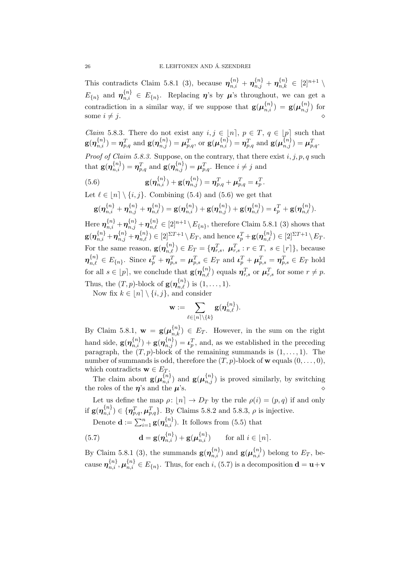This contradicts Claim 5.8.1 (3), because  $\eta_{n,i}^{\{n\}} + \eta_{n,j}^{\{n\}} + \eta_{n,k}^{\{n\}} \in [2]^{n+1} \setminus$  $E_{\{n\}}$  and  $\boldsymbol{\eta}_{n,i}^{\{n\}} \in E_{\{n\}}$ . Replacing  $\boldsymbol{\eta}$ 's by  $\boldsymbol{\mu}$ 's throughout, we can get a contradiction in a similar way, if we suppose that  $g(\mu_{n,i}^{\{n\}}) = g(\mu_{n,j}^{\{n\}})$  for some  $i \neq j$ .

*Claim* 5.8.3. There do not exist any  $i, j \in [n], p \in T, q \in [p]$  such that  $\mathbf{g}(\boldsymbol{\eta}_{n,i}^{\{n\}})=\boldsymbol{\eta}_{p,q}^T \text{ and } \mathbf{g}(\boldsymbol{\eta}_{n,j}^{\{n\}})=\boldsymbol{\mu}_{p,q}^T, \text{ or } \mathbf{g}(\boldsymbol{\mu}_{n,i}^{\{n\}})=\boldsymbol{\eta}_{p,q}^T \text{ and } \mathbf{g}(\boldsymbol{\mu}_{n,j}^{\{n\}})=\boldsymbol{\mu}_{p,q}^T.$ 

*Proof of Claim 5.8.3.* Suppose, on the contrary, that there exist  $i, j, p, q$  such that  $\mathbf{g}(\boldsymbol{\eta}_{n,i}^{\{n\}}) = \boldsymbol{\eta}_{p,q}^T$  and  $\mathbf{g}(\boldsymbol{\eta}_{n,j}^{\{n\}}) = \boldsymbol{\mu}_{p,q}^T$ . Hence  $i \neq j$  and

(5.6) 
$$
\mathbf{g}(\boldsymbol{\eta}_{n,i}^{\{n\}}) + \mathbf{g}(\boldsymbol{\eta}_{n,j}^{\{n\}}) = \boldsymbol{\eta}_{p,q}^T + \boldsymbol{\mu}_{p,q}^T = \boldsymbol{\iota}_p^T.
$$

Let  $\ell \in [n] \setminus \{i, j\}$ . Combining (5.4) and (5.6) we get that

$$
\mathbf{g}(\boldsymbol{\eta}_{n,i}^{\{n\}}+\boldsymbol{\eta}_{n,j}^{\{n\}}+\boldsymbol{\eta}_{n,\ell}^{\{n\}})=\mathbf{g}(\boldsymbol{\eta}_{n,i}^{\{n\}})+\mathbf{g}(\boldsymbol{\eta}_{n,j}^{\{n\}})+\mathbf{g}(\boldsymbol{\eta}_{n,\ell}^{\{n\}})=\boldsymbol{\iota}_p^T+\mathbf{g}(\boldsymbol{\eta}_{n,\ell}^{\{n\}}).
$$

Here  $\boldsymbol{\eta}_{n,i}^{\{n\}} + \boldsymbol{\eta}_{n,j}^{\{n\}} + \boldsymbol{\eta}_{n,\ell}^{\{n\}} \in [2]^{n+1} \setminus E_{\{n\}},$  therefore Claim 5.8.1 (3) shows that  $\textbf{g}(\boldsymbol{\eta}_{n,i}^{\{n\}}+\boldsymbol{\eta}_{n,j}^{\{n\}}+\boldsymbol{\eta}_{n,\ell}^{\{n\}}) \in [2]^{\Sigma T+1}\setminus E_T \text{, and hence } \boldsymbol{\iota}_p^T+\textbf{g}(\boldsymbol{\eta}_{n,\ell}^{\{n\}}) \in [2]^{\Sigma T+1}\setminus E_T.$ For the same reason,  $\mathbf{g}(\boldsymbol{\eta}_{n,\ell}^{\{n\}}) \in E_T = \{\boldsymbol{\eta}_{r,s}^T, \ \boldsymbol{\mu}_{r,s}^T : r \in T, \ s \in [r]\},$  because  $\boldsymbol{\eta}_{n,\ell}^{\{n\}} \in E_{\{n\}}$ . Since  $\boldsymbol{\iota}_p^T + \boldsymbol{\eta}_{p,s}^T = \boldsymbol{\mu}_{p,s}^T \in E_T$  and  $\boldsymbol{\iota}_p^T + \boldsymbol{\mu}_{p,s}^T = \boldsymbol{\eta}_{p,s}^T \in E_T$  hold for all  $s \in [p]$ , we conclude that  $\mathbf{g}(\boldsymbol{\eta}_{n,\ell}^{\{n\}})$  equals  $\boldsymbol{\eta}_{r,s}^T$  or  $\boldsymbol{\mu}_{r,s}^T$  for some  $r \neq p$ . Thus, the  $(T, p)$ -block of  $\mathbf{g}(\boldsymbol{\eta}_{n,\ell}^{\{n\}})$  is  $(1, \ldots, 1)$ .

Now fix  $k \in [n] \setminus \{i, j\}$ , and consider

$$
\mathbf{w}:=\sum_{\ell\in [n]\setminus\{k\}}\mathbf{g}(\boldsymbol{\eta}_{n,\ell}^{\{n\}}).
$$

By Claim 5.8.1,  $\mathbf{w} = \mathbf{g}(\boldsymbol{\mu}_{n,k}^{\{n\}}) \in E_T$ . However, in the sum on the right hand side,  $\mathbf{g}(\boldsymbol{\eta}_{n,i}^{\{n\}}) + \mathbf{g}(\boldsymbol{\eta}_{n,j}^{\{n\}}) = \boldsymbol{\iota}_p^T$ , and, as we established in the preceding paragraph, the  $(T, p)$ -block of the remaining summands is  $(1, \ldots, 1)$ . The number of summands is odd, therefore the  $(T, p)$ -block of **w** equals  $(0, \ldots, 0)$ , which contradicts  $\mathbf{w} \in E_T$ .

The claim about  $g(\mu_{n,i}^{\{n\}})$  and  $g(\mu_{n,j}^{\{n\}})$  is proved similarly, by switching the roles of the  $\eta$ 's and the  $\mu$ 's.

Let us define the map  $\rho: |n] \to D_T$  by the rule  $\rho(i) = (p, q)$  if and only if  $\mathbf{g}(\boldsymbol{\eta}_{n,i}^{\{n\}}) \in \{\boldsymbol{\eta}_{p,q}^T, \boldsymbol{\mu}_{p,q}^T\}$ . By Claims 5.8.2 and 5.8.3,  $\rho$  is injective.

Denote  $\mathbf{d} := \sum_{i=1}^{n} \mathbf{g}(\boldsymbol{\eta}_{n,i}^{\{n\}})$ . It follows from (5.5) that

(5.7) 
$$
\mathbf{d} = \mathbf{g}(\boldsymbol{\eta}_{n,i}^{\{n\}}) + \mathbf{g}(\boldsymbol{\mu}_{n,i}^{\{n\}}) \quad \text{for all } i \in [n].
$$

By Claim 5.8.1 (3), the summands  $\mathbf{g}(\boldsymbol{\eta}_{n,i}^{\{n\}})$  and  $\mathbf{g}(\boldsymbol{\mu}_{n,i}^{\{n\}})$  belong to  $E_T$ , because  $\boldsymbol{\eta}_{n,i}^{\{n\}}, \boldsymbol{\mu}_{n,i}^{\{n\}} \in E_{\{n\}}$ . Thus, for each i, (5.7) is a decomposition  $\mathbf{d} = \mathbf{u} + \mathbf{v}$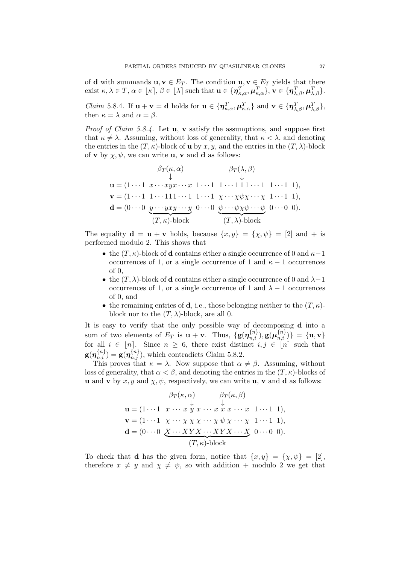of **d** with summands  $u, v \in E_T$ . The condition  $u, v \in E_T$  yields that there  $\text{exist } \kappa, \lambda \in T, \alpha \in [\kappa], \beta \in [\lambda] \text{ such that } \mathbf{u} \in \{\boldsymbol{\eta}_{\kappa,\alpha}^T, \boldsymbol{\mu}_{\kappa,\alpha}^T\}, \mathbf{v} \in \{\boldsymbol{\eta}_{\lambda,\beta}^T, \boldsymbol{\mu}_{\lambda,\beta}^T\}.$ 

*Claim* 5.8.4. If  $\mathbf{u} + \mathbf{v} = \mathbf{d}$  holds for  $\mathbf{u} \in \{\boldsymbol{\eta}_{\kappa,\alpha}^T, \boldsymbol{\mu}_{\kappa,\alpha}^T\}$  and  $\mathbf{v} \in \{\boldsymbol{\eta}_{\lambda,\beta}^T, \boldsymbol{\mu}_{\lambda,\beta}^T\}$ , then  $\kappa = \lambda$  and  $\alpha = \beta$ .

*Proof of Claim 5.8.4.* Let  $\bf{u}$ ,  $\bf{v}$  satisfy the assumptions, and suppose first that  $\kappa \neq \lambda$ . Assuming, without loss of generality, that  $\kappa < \lambda$ , and denoting the entries in the  $(T, \kappa)$ -block of **u** by x, y, and the entries in the  $(T, \lambda)$ -block of **v** by  $\chi, \psi$ , we can write **u**, **v** and **d** as follows:

$$
\beta_T(\kappa, \alpha) \qquad \beta_T(\lambda, \beta)
$$
  
\n
$$
\downarrow \qquad \qquad \downarrow
$$
  
\n
$$
\mathbf{u} = (1 \cdots 1 \ x \cdots xyx \cdots x \ 1 \cdots 1 \ 1 \cdots 1 \ 1 \cdots 1 \ 1 \cdots 1 \ 1),
$$
  
\n
$$
\mathbf{v} = (1 \cdots 1 \ 1 \cdots 111 \cdots 1 \ 1 \cdots 1 \ x \cdots \chi \psi \chi \cdots \chi \ 1 \cdots 1 \ 1),
$$
  
\n
$$
\mathbf{d} = (0 \cdots 0 \ y \cdots yxy \cdots y \ 0 \cdots 0 \ \psi \cdots \psi \chi \psi \cdots \psi \ 0 \cdots 0 \ 0).
$$
  
\n
$$
(T, \kappa)
$$
-block  
\n
$$
(T, \lambda)
$$
-block

The equality  $\mathbf{d} = \mathbf{u} + \mathbf{v}$  holds, because  $\{x, y\} = \{\chi, \psi\} = [2]$  and  $+$  is performed modulo 2. This shows that

- the  $(T, \kappa)$ -block of **d** contains either a single occurrence of 0 and  $\kappa 1$ occurrences of 1, or a single occurrence of 1 and  $\kappa - 1$  occurrences of 0,
- the  $(T, \lambda)$ -block of **d** contains either a single occurrence of 0 and  $\lambda 1$ occurrences of 1, or a single occurrence of 1 and  $\lambda - 1$  occurrences of 0, and
- the remaining entries of **d**, i.e., those belonging neither to the  $(T, \kappa)$ block nor to the  $(T, \lambda)$ -block, are all 0.

It is easy to verify that the only possible way of decomposing d into a sum of two elements of  $E_T$  is  $\mathbf{u} + \mathbf{v}$ . Thus,  $\{ \mathbf{g}(\boldsymbol{\eta}_{n,i}^{\{n\}}), \mathbf{g}(\boldsymbol{\mu}_{n,i}^{\{n\}}) \} = \{ \mathbf{u}, \mathbf{v} \}$ for all  $i \in [n]$ . Since  $n \geq 6$ , there exist distinct  $i, j \in [n]$  such that  $g(\eta_{n,i}^{\{n\}}) = g(\eta_{n,j}^{\{n\}})$ , which contradicts Claim 5.8.2.

This proves that  $\kappa = \lambda$ . Now suppose that  $\alpha \neq \beta$ . Assuming, without loss of generality, that  $\alpha < \beta$ , and denoting the entries in the  $(T, \kappa)$ -blocks of **u** and **v** by x, y and  $\chi$ ,  $\psi$ , respectively, we can write **u**, **v** and **d** as follows:

$$
\beta_T(\kappa, \alpha) \qquad \beta_T(\kappa, \beta)
$$
  
\n
$$
\mathbf{u} = (1 \cdots 1 \quad x \cdots x \quad y \quad x \cdots x \quad x \cdots x \quad 1 \cdots 1 \quad 1),
$$
  
\n
$$
\mathbf{v} = (1 \cdots 1 \quad \chi \cdots \chi \chi \chi \cdots \chi \psi \chi \cdots \chi \quad 1 \cdots 1 \quad 1),
$$
  
\n
$$
\mathbf{d} = (0 \cdots 0 \quad \underbrace{X \cdots XYX \cdots XYX \cdots X}_{(T, \kappa)-\text{block}} \quad 0 \cdots 0 \quad 0).
$$

To check that **d** has the given form, notice that  $\{x, y\} = \{\chi, \psi\} = [2],$ therefore  $x \neq y$  and  $\chi \neq \psi$ , so with addition + modulo 2 we get that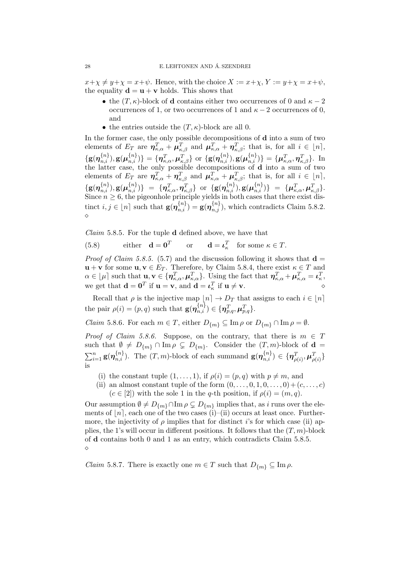$x+\chi \neq y+\chi = x+\psi$ . Hence, with the choice  $X := x+\chi$ ,  $Y := y+\chi = x+\psi$ , the equality  $\mathbf{d} = \mathbf{u} + \mathbf{v}$  holds. This shows that

- the  $(T, \kappa)$ -block of **d** contains either two occurrences of 0 and  $\kappa 2$ occurrences of 1, or two occurrences of 1 and  $\kappa - 2$  occurrences of 0, and
- the entries outside the  $(T, \kappa)$ -block are all 0.

In the former case, the only possible decompositions of **d** into a sum of two elements of  $E_T$  are  $\eta_{\kappa,\alpha}^T + \mu_{\kappa,\beta}^T$  and  $\mu_{\kappa,\alpha}^T + \eta_{\kappa,\beta}^T$ ; that is, for all  $i \in [n]$ ,  $\{g(\boldsymbol{\eta}_{n,i}^{\{n\}}), g(\boldsymbol{\mu}_{n,i}^{\{n\}})\} = \{\boldsymbol{\eta}_{\kappa,\alpha}^T, \boldsymbol{\mu}_{\kappa,\beta}^T\} \text{ or } \{g(\boldsymbol{\eta}_{n,i}^{\{n\}}), g(\boldsymbol{\mu}_{n,i}^{\{n\}})\} = \{\boldsymbol{\mu}_{\kappa,\alpha}^T, \boldsymbol{\eta}_{\kappa,\beta}^T\}$ . In the latter case, the only possible decompositions of d into a sum of two elements of  $E_T$  are  $\eta_{\kappa,\alpha}^T + \eta_{\kappa,\beta}^T$  and  $\mu_{\kappa,\alpha}^T + \mu_{\kappa,\beta}^T$ ; that is, for all  $i \in [n]$ ,  $\{ {\bf g}({\boldsymbol \eta}_{n,i}^{\{n\}}), {\bf g}({\boldsymbol \mu}_{n,i}^{\{n\}}) \} \; = \; \{ {\boldsymbol \eta}_{\kappa, \alpha}^T, {\boldsymbol \eta}_{\kappa, \beta}^T \} \; \; {\rm or} \; \; \{ {\bf g}({\boldsymbol \eta}_{n,i}^{\{n\}}), {\bf g}({\boldsymbol \mu}_{n,i}^{\{n\}}) \} \; = \; \{ {\boldsymbol \mu}_{\kappa, \alpha}^T, {\boldsymbol \mu}_{\kappa, \beta}^T \}.$ Since  $n \geq 6$ , the pigeonhole principle yields in both cases that there exist distinct  $i, j \in [n]$  such that  $\mathbf{g}(\boldsymbol{\eta}_{n,i}^{\{n\}}) = \mathbf{g}(\boldsymbol{\eta}_{n,j}^{\{n\}})$ , which contradicts Claim 5.8.2.  $\Diamond$ 

Claim 5.8.5. For the tuple d defined above, we have that

(5.8) either  $\mathbf{d} = \mathbf{0}^T$  or  $\mathbf{d} = \mathbf{\iota}_{\kappa}^T$  for some  $\kappa \in T$ .

*Proof of Claim 5.8.5.* (5.7) and the discussion following it shows that  $\mathbf{d} =$  $\mathbf{u} + \mathbf{v}$  for some  $\mathbf{u}, \mathbf{v} \in E_T$ . Therefore, by Claim 5.8.4, there exist  $\kappa \in T$  and  $\alpha \in [\mu]$  such that  $\mathbf{u}, \mathbf{v} \in \{\boldsymbol{\eta}_{\kappa,\alpha}^T, \boldsymbol{\mu}_{\kappa,\alpha}^T\}$ . Using the fact that  $\boldsymbol{\eta}_{\kappa,\alpha}^T + \boldsymbol{\mu}_{\kappa,\alpha}^T = \boldsymbol{\iota}_{\kappa}^T$ , we get that  $\mathbf{d} = \mathbf{0}^T$  if  $\mathbf{u} = \mathbf{v}$ , and  $\mathbf{d} = \boldsymbol{\iota}_\kappa^T$  if  $\mathbf{u} \neq \mathbf{v}$ .

Recall that  $\rho$  is the injective map  $\lfloor n \rfloor \to D_T$  that assigns to each  $i \in \lfloor n \rfloor$ the pair  $\rho(i) = (p, q)$  such that  $\mathbf{g}(\boldsymbol{\eta}_{n,i}^{\{n\}}) \in \{\boldsymbol{\eta}_{p,q}^T, \boldsymbol{\mu}_{p,q}^T\}.$ 

*Claim* 5.8.6. For each  $m \in T$ , either  $D_{\{m\}} \subseteq \text{Im } \rho$  or  $D_{\{m\}} \cap \text{Im } \rho = \emptyset$ .

*Proof of Claim 5.8.6.* Suppose, on the contrary, that there is  $m \in T$ such that  $\emptyset \neq D_{m} \cap \text{Im } \rho \subsetneq D_{m}$ . Consider the  $(T, m)$ -block of  $\mathbf{d} =$  $\sum_{i=1}^n \mathbf{g}(\boldsymbol{\eta}_{n,i}^{\{n\}})$ . The  $(T, m)$ -block of each summand  $\mathbf{g}(\boldsymbol{\eta}_{n,i}^{\{n\}}) \in {\{\boldsymbol{\eta}_{\rho(i)}^T,\boldsymbol{\mu}_{\rho(i)}^T\}}$ is

- (i) the constant tuple  $(1, \ldots, 1)$ , if  $\rho(i) = (p, q)$  with  $p \neq m$ , and
- (ii) an almost constant tuple of the form  $(0, \ldots, 0, 1, 0, \ldots, 0) + (c, \ldots, c)$  $(c \in [2])$  with the sole 1 in the q-th position, if  $\rho(i) = (m, q)$ .

Our assumption  $\emptyset \neq D_{\{m\}} \cap \text{Im } \rho \subsetneq D_{\{m\}}$  implies that, as i runs over the elements of  $[n]$ , each one of the two cases (i)–(ii) occurs at least once. Furthermore, the injectivity of  $\rho$  implies that for distinct i's for which case (ii) applies, the 1's will occur in different positions. It follows that the  $(T, m)$ -block of d contains both 0 and 1 as an entry, which contradicts Claim 5.8.5.  $\Diamond$ 

*Claim* 5.8.7. There is exactly one  $m \in T$  such that  $D_{\{m\}} \subseteq \text{Im } \rho$ .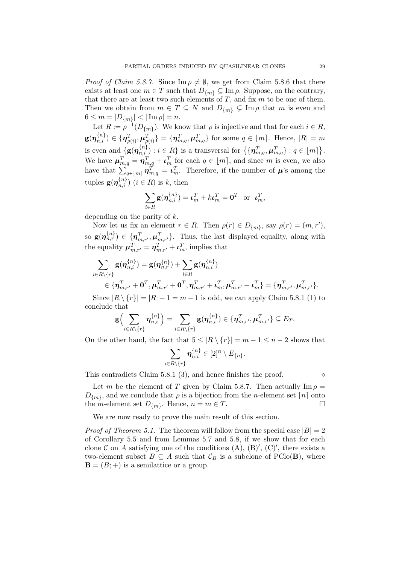*Proof of Claim 5.8.7.* Since  $\text{Im } \rho \neq \emptyset$ , we get from Claim 5.8.6 that there exists at least one  $m \in T$  such that  $D_{\{m\}} \subseteq \text{Im } \rho$ . Suppose, on the contrary, that there are at least two such elements of  $T$ , and fix  $m$  to be one of them. Then we obtain from  $m \in T \subseteq N$  and  $D_{\{m\}} \subsetneq \text{Im } \rho$  that m is even and  $6 \le m = |D_{\{m\}}| < |\operatorname{Im} \rho| = n.$ 

Let  $R := \rho^{-1}(D_{\{m\}})$ . We know that  $\rho$  is injective and that for each  $i \in R$ ,  $\textbf{g}(\bm{\eta}_{n,i}^{\{n\}}) \in \{\bm{\eta}_{\rho(i)}^T, \bm{\mu}_{\rho(i)}^T\} = \{\bm{\eta}_{m,q}^T, \bm{\mu}_{m,q}^T\}$  for some  $q \in [m]$ . Hence,  $|R| = m$ is even and  $\{g(\boldsymbol{\eta}_{n,i}^{\{n\}}): i \in R\}$  is a transversal for  $\{\{\boldsymbol{\eta}_{m,q}^T, \boldsymbol{\mu}_{m,q}^T\}: q \in \lfloor m \rceil\}.$ We have  $\mu_{m,q}^T = \eta_{m,q}^T + \iota_m^T$  for each  $q \in [m]$ , and since m is even, we also have that  $\sum_{q \in [m]} \eta_{m,q}^T = \iota_m^T$ . Therefore, if the number of  $\mu$ 's among the tuples  $\mathbf{g}(\boldsymbol{\eta}_{n,i}^{\{n\}})$   $(i \in R)$  is  $k$ , then

$$
\sum_{i\in R}\mathbf{g}(\boldsymbol{\eta}_{n,i}^{\{n\}})=\boldsymbol{\iota}_m^T+k\boldsymbol{\iota}_m^T=\mathbf{0}^T\ \ \text{or}\ \ \boldsymbol{\iota}_m^T,
$$

depending on the parity of k.

Now let us fix an element  $r \in R$ . Then  $\rho(r) \in D_{\{m\}}$ , say  $\rho(r) = (m, r'),$ so  $\mathbf{g}(\boldsymbol{\eta}_{n,r}^{\{n\}}) \in \{\boldsymbol{\eta}_{m,r'}^T, \boldsymbol{\mu}_{m,r'}^T\}$ . Thus, the last displayed equality, along with the equality  $\boldsymbol{\mu}_{m,r'}^T = \boldsymbol{\eta}_{m,r'}^T + \boldsymbol{\iota}_m^T$ , implies that

$$
\begin{aligned} &\sum_{i\in R\setminus\{r\}}\mathbf{g}(\bm{\eta}_{n,i}^{\{n\}})=\mathbf{g}(\bm{\eta}_{n,r}^{\{n\}})+\sum_{i\in R}\mathbf{g}(\bm{\eta}_{n,i}^{\{n\}})\\ &\in\{\bm{\eta}_{m,r'}^T+\bm{0}^T,\bm{\mu}_{m,r'}^T+\bm{0}^T,\bm{\eta}_{m,r'}^T+\bm{\iota}_m^T,\bm{\mu}_{m,r'}^T+\bm{\iota}_m^T\}=\{\bm{\eta}_{m,r'}^T,\bm{\mu}_{m,r'}^T\}. \end{aligned}
$$

Since  $|R \setminus \{r\}| = |R| - 1 = m - 1$  is odd, we can apply Claim 5.8.1 (1) to conclude that

$$
\mathbf{g}\Big(\sum_{i\in R\setminus\{r\}}\boldsymbol{\eta}_{n,i}^{\{n\}}\Big)=\sum_{i\in R\setminus\{r\}}\mathbf{g}(\boldsymbol{\eta}_{n,i}^{\{n\}})\in\{\boldsymbol{\eta}_{m,r'}^T,\boldsymbol{\mu}_{m,r'}^T\}\subseteq E_T.
$$

On the other hand, the fact that  $5 \leq |R \setminus \{r\}| = m - 1 \leq n - 2$  shows that

$$
\sum_{i\in R\setminus\{r\}}\boldsymbol{\eta}_{n,i}^{\{n\}}\in [2]^n\setminus E_{\{n\}}.
$$

This contradicts Claim 5.8.1 (3), and hence finishes the proof.  $\diamond$ 

Let m be the element of T given by Claim 5.8.7. Then actually  $\text{Im } \rho =$  $D_{\{m\}}$ , and we conclude that  $\rho$  is a bijection from the *n*-element set  $\lfloor n \rfloor$  onto the *m*-element set  $D_{\{m\}}$ . Hence,  $n = m \in T$ .

We are now ready to prove the main result of this section.

*Proof of Theorem 5.1.* The theorem will follow from the special case  $|B| = 2$ of Corollary 5.5 and from Lemmas 5.7 and 5.8, if we show that for each clone C on A satisfying one of the conditions  $(A)$ ,  $(B)'$ ,  $(C)'$ , there exists a two-element subset  $B \subseteq A$  such that  $\mathcal{C}_B$  is a subclone of PClo(**B**), where  $\mathbf{B} = (B; +)$  is a semilattice or a group.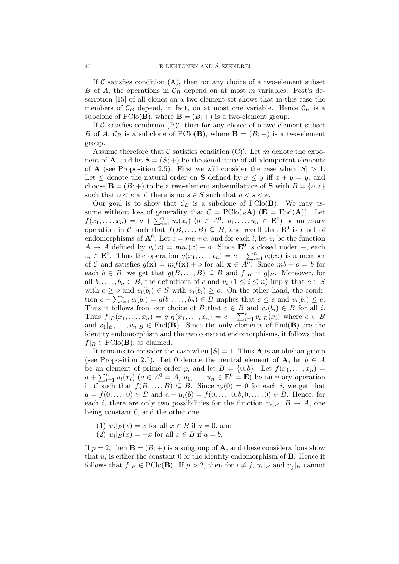If C satisfies condition  $(A)$ , then for any choice of a two-element subset B of A, the operations in  $\mathcal{C}_B$  depend on at most m variables. Post's description [15] of all clones on a two-element set shows that in this case the members of  $\mathcal{C}_B$  depend, in fact, on at most one variable. Hence  $\mathcal{C}_B$  is a subclone of  $PClo(B)$ , where  $B = (B; +)$  is a two-element group.

If  $\mathcal C$  satisfies condition  $(B)'$ , then for any choice of a two-element subset B of A,  $\mathcal{C}_B$  is a subclone of PClo(**B**), where  $\mathbf{B} = (B; +)$  is a two-element group.

Assume therefore that  $\mathcal C$  satisfies condition  $(C)'$ . Let m denote the exponent of **A**, and let  $S = (S; +)$  be the semilattice of all idempotent elements of **A** (see Proposition 2.5). First we will consider the case when  $|S| > 1$ . Let  $\leq$  denote the natural order on **S** defined by  $x \leq y$  iff  $x + y = y$ , and choose  $\mathbf{B} = (B; +)$  to be a two-element subsemilattice of **S** with  $B = \{o, e\}$ such that  $o < e$  and there is no  $s \in S$  such that  $o < s < e$ .

Our goal is to show that  $\mathcal{C}_B$  is a subclone of PClo(B). We may assume without loss of generality that  $C = \text{PClo}(\mathbf{E} \mathbf{A})$  ( $\mathbf{E} = \text{End}(\mathbf{A})$ ). Let  $f(x_1,...,x_n) = a + \sum_{i=1}^n u_i(x_i)$   $(a \in A^0, u_1,...,u_n \in \mathbf{E}^0)$  be an *n*-ary operation in C such that  $f(B,\ldots,B) \subseteq B$ , and recall that  $\mathbf{E}^0$  is a set of endomorphisms of  $\mathbf{A}^0$ . Let  $c = ma + o$ , and for each i, let  $v_i$  be the function  $A \rightarrow A$  defined by  $v_i(x) = mu_i(x) + o$ . Since  $\mathbf{E}^0$  is closed under +, each  $v_i \in \mathbf{E}^0$ . Thus the operation  $g(x_1, \ldots, x_n) = c + \sum_{i=1}^n v_i(x_i)$  is a member of C and satisfies  $g(\mathbf{x}) = mf(\mathbf{x}) + o$  for all  $\mathbf{x} \in \overline{A^n}$ . Since  $mb + o = b$  for each  $b \in B$ , we get that  $g(B, \ldots, B) \subseteq B$  and  $f|_B = g|_B$ . Moreover, for all  $b_1, \ldots, b_n \in B$ , the definitions of c and  $v_i$   $(1 \leq i \leq n)$  imply that  $c \in S$ with  $c \geq o$  and  $v_i(b_i) \in S$  with  $v_i(b_i) \geq o$ . On the other hand, the condition  $c + \sum_{i=1}^n v_i(b_i) = g(b_1, \ldots, b_n) \in B$  implies that  $c \le e$  and  $v_i(b_i) \le e$ . Thus it follows from our choice of B that  $c \in B$  and  $v_i(b_i) \in B$  for all i. Thus  $f|_B(x_1,...,x_n) = g|_B(x_1,...,x_n) = c + \sum_{i=1}^n v_i|_B(x_i)$  where  $c \in B$ and  $v_1|_B, \ldots, v_n|_B \in \text{End}(\mathbf{B})$ . Since the only elements of End(**B**) are the identity endomorphism and the two constant endomorphisms, it follows that  $f|_B \in \mathrm{PClo}(\mathbf{B})$ , as claimed.

It remains to consider the case when  $|S| = 1$ . Thus **A** is an abelian group (see Proposition 2.5). Let 0 denote the neutral element of **A**, let  $b \in A$ be an element of prime order p, and let  $B = \{0, b\}$ . Let  $f(x_1, \ldots, x_n) =$  $a + \sum_{i=1}^{n} u_i(x_i)$   $(a \in A^0 = A, u_1, \ldots, u_n \in \mathbf{E}^0 = \mathbf{E})$  be an *n*-ary operation in C such that  $f(B,\ldots,B) \subseteq B$ . Since  $u_i(0) = 0$  for each i, we get that  $a = f(0, \ldots, 0) \in B$  and  $a + u_i(b) = f(0, \ldots, 0, b, 0, \ldots, 0) \in B$ . Hence, for each *i*, there are only two possibilities for the function  $u_i|_B: B \to A$ , one being constant 0, and the other one

- (1)  $u_i|_B(x) = x$  for all  $x \in B$  if  $a = 0$ , and
- (2)  $u_i|_B(x) = -x$  for all  $x \in B$  if  $a = b$ .

If  $p = 2$ , then  $\mathbf{B} = (B; +)$  is a subgroup of **A**, and these considerations show that  $u_i$  is either the constant 0 or the identity endomorphism of **B**. Hence it follows that  $f|_B \in \mathrm{PClo}(\mathbf{B})$ . If  $p > 2$ , then for  $i \neq j$ ,  $u_i|_B$  and  $u_j|_B$  cannot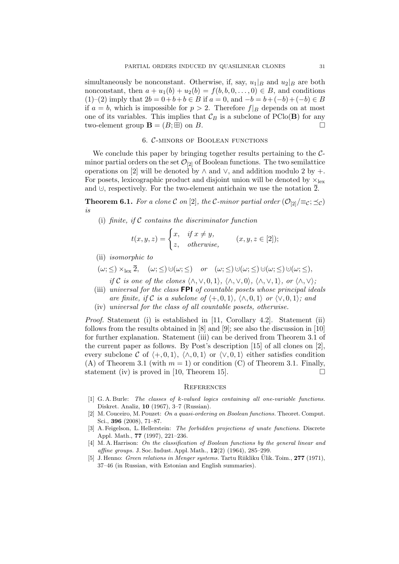simultaneously be nonconstant. Otherwise, if, say,  $u_1|_B$  and  $u_2|_B$  are both nonconstant, then  $a + u_1(b) + u_2(b) = f(b, b, 0, \ldots, 0) \in B$ , and conditions (1)–(2) imply that  $2b = 0+b+b \in B$  if  $a = 0$ , and  $-b = b+(-b)+(-b) \in B$ if  $a = b$ , which is impossible for  $p > 2$ . Therefore  $f|_B$  depends on at most one of its variables. This implies that  $\mathcal{C}_B$  is a subclone of PClo(**B**) for any two-element group  $\mathbf{B} = (B; \boxplus)$  on B.

### 6. C-minors of Boolean functions

We conclude this paper by bringing together results pertaining to the  $C$ minor partial orders on the set  $\mathcal{O}_{[2]}$  of Boolean functions. The two semilattice operations on [2] will be denoted by  $\wedge$  and  $\vee$ , and addition modulo 2 by +. For posets, lexicographic product and disjoint union will be denoted by  $\times_{\text{lex}}$ and  $\cup$ , respectively. For the two-element antichain we use the notation  $\overline{2}$ .

**Theorem 6.1.** For a clone C on [2], the C-minor partial order  $(\mathcal{O}_{[2]})\equiv_c; \preceq_c)$ is

(i) finite, if  $C$  contains the discriminator function

$$
t(x, y, z) = \begin{cases} x, & \text{if } x \neq y, \\ z, & \text{otherwise,} \end{cases} \quad (x, y, z \in [2]);
$$

- (ii) isomorphic to
- $(\omega; <) \times_{\text{lex}} \overline{2}$ ,  $(\omega; <) \cup (\omega; <)$  or  $(\omega; <) \cup (\omega; <) \cup (\omega; <) \cup (\omega; <)$ 
	- if C is one of the clones  $\langle \wedge, \vee, 0, 1 \rangle$ ,  $\langle \wedge, \vee, 0 \rangle$ ,  $\langle \wedge, \vee, 1 \rangle$ , or  $\langle \wedge, \vee \rangle$ ;
- (iii) universal for the class  $FPI$  of countable posets whose principal ideals are finite, if C is a subclone of  $\langle +, 0, 1 \rangle$ ,  $\langle \wedge, 0, 1 \rangle$  or  $\langle \vee, 0, 1 \rangle$ ; and
- (iv) universal for the class of all countable posets, otherwise.

Proof. Statement (i) is established in [11, Corollary 4.2]. Statement (ii) follows from the results obtained in [8] and [9]; see also the discussion in [10] for further explanation. Statement (iii) can be derived from Theorem 3.1 of the current paper as follows. By Post's description [15] of all clones on [2], every subclone C of  $\langle +, 0, 1 \rangle$ ,  $\langle \wedge, 0, 1 \rangle$  or  $\langle \vee, 0, 1 \rangle$  either satisfies condition (A) of Theorem 3.1 (with  $m = 1$ ) or condition (C) of Theorem 3.1. Finally, statement (iv) is proved in [10, Theorem 15].  $\Box$ 

#### **REFERENCES**

- [1] G. A. Burle: The classes of k-valued logics containing all one-variable functions. Diskret. Analiz, 10 (1967), 3–7 (Russian).
- [2] M. Couceiro, M. Pouzet: On a quasi-ordering on Boolean functions. Theoret. Comput. Sci., 396 (2008), 71–87.
- [3] A. Feigelson, L. Hellerstein: The forbidden projections of unate functions. Discrete Appl. Math., 77 (1997), 221–236.
- [4] M. A. Harrison: On the classification of Boolean functions by the general linear and affine groups. J. Soc. Indust. Appl. Math., 12(2) (1964), 285–299.
- [5] J. Henno: *Green relations in Menger systems*. Tartu Riikliku Ülik. Toim., **277** (1971), 37–46 (in Russian, with Estonian and English summaries).